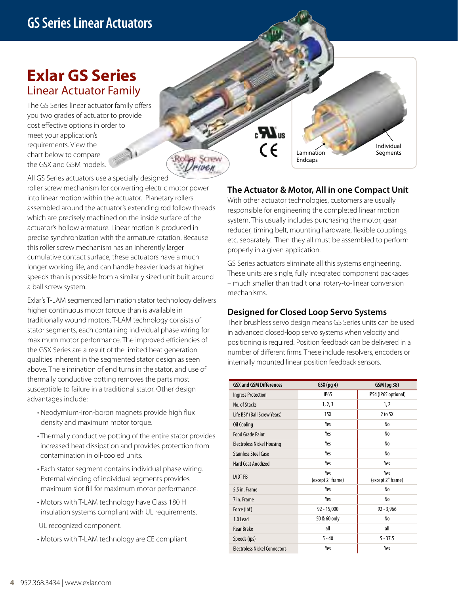## **Exlar GS Series**  Linear Actuator Family

The GS Series linear actuator family offers you two grades of actuator to provide cost effective options in order to meet your application's requirements. View the chart below to compare the GSX and GSM models.

All GS Series actuators use a specially designed roller screw mechanism for converting electric motor power into linear motion within the actuator. Planetary rollers assembled around the actuator's extending rod follow threads which are precisely machined on the inside surface of the actuator's hollow armature. Linear motion is produced in precise synchronization with the armature rotation. Because this roller screw mechanism has an inherently larger cumulative contact surface, these actuators have a much longer working life, and can handle heavier loads at higher speeds than is possible from a similarly sized unit built around a ball screw system.

Exlar's T-LAM segmented lamination stator technology delivers higher continuous motor torque than is available in traditionally wound motors. T-LAM technology consists of stator segments, each containing individual phase wiring for maximum motor performance. The improved efficiencies of the GSX Series are a result of the limited heat generation qualities inherent in the segmented stator design as seen above. The elimination of end turns in the stator, and use of thermally conductive potting removes the parts most susceptible to failure in a traditional stator. Other design advantages include:

- Neodymium-iron-boron magnets provide high flux density and maximum motor torque.
- Thermally conductive potting of the entire stator provides increased heat dissipation and provides protection from contamination in oil-cooled units.
- Each stator segment contains individual phase wiring. External winding of individual segments provides maximum slot fill for maximum motor performance.
- Motors with T-LAM technology have Class 180 H insulation systems compliant with UL requirements.

UL recognized component.

• Motors with T-LAM technology are CE compliant

### **The Actuator & Motor, All in one Compact Unit**

Lamination Endcaps

 $\mathbf{F}$ 

 $\epsilon$ 

**BY SCTEV** riven

Individual Segments

With other actuator technologies, customers are usually responsible for engineering the completed linear motion system. This usually includes purchasing the motor, gear reducer, timing belt, mounting hardware, flexible couplings, etc. separately. Then they all must be assembled to perform properly in a given application.

GS Series actuators eliminate all this systems engineering. These units are single, fully integrated component packages – much smaller than traditional rotary-to-linear conversion mechanisms.

### **Designed for Closed Loop Servo Systems**

Their brushless servo design means GS Series units can be used in advanced closed-loop servo systems when velocity and positioning is required. Position feedback can be delivered in a number of different firms. These include resolvers, encoders or internally mounted linear position feedback sensors.

| <b>GSX and GSM Differences</b>       | $GSX$ (pg 4)             | GSM (pg 38)              |
|--------------------------------------|--------------------------|--------------------------|
| <b>Ingress Protection</b>            | <b>IP65</b>              | IP54 (IP65 optional)     |
| No. of Stacks                        | 1, 2, 3                  | 1, 2                     |
| Life BSY (Ball Screw Years)          | 15X                      | $2$ to $5X$              |
| Oil Cooling                          | Yes                      | No                       |
| <b>Food Grade Paint</b>              | Yes                      | No                       |
| <b>Electroless Nickel Housing</b>    | Yes                      | No                       |
| <b>Stainless Steel Case</b>          | Yes                      | No                       |
| Hard Coat Anodized                   | Yes                      | Yes                      |
| <b>LVDT FB</b>                       | Yes<br>(except 2" frame) | Yes<br>(except 2" frame) |
| 5.5 in. Frame                        | Yes                      | No                       |
| 7 in. Frame                          | Yes                      | No                       |
| Force (lbf)                          | $92 - 15,000$            | $92 - 3,966$             |
| 1.0 Lead                             | 50 & 60 only             | No                       |
| <b>Rear Brake</b>                    | all                      | all                      |
| Speeds (ips)                         | $5 - 40$                 | $5 - 37.5$               |
| <b>Electroless Nickel Connectors</b> | Yes                      | Yes                      |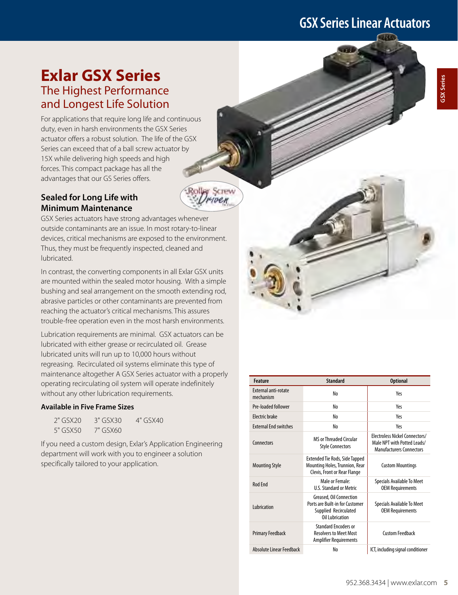## **GSX Series Linear Actuators**

## **Exlar GSX Series**  The Highest Performance and Longest Life Solution

For applications that require long life and continuous duty, even in harsh environments the GSX Series actuator offers a robust solution. The life of the GSX Series can exceed that of a ball screw actuator by 15X while delivering high speeds and high forces. This compact package has all the advantages that our GS Series offers.

### **Sealed for Long Life with Minimum Maintenance**



outside contaminants are an issue. In most rotary-to-linear devices, critical mechanisms are exposed to the environment. Thus, they must be frequently inspected, cleaned and lubricated.

**U** SCTEW muen

In contrast, the converting components in all Exlar GSX units are mounted within the sealed motor housing. With a simple bushing and seal arrangement on the smooth extending rod, abrasive particles or other contaminants are prevented from reaching the actuator's critical mechanisms. This assures trouble-free operation even in the most harsh environments.

Lubrication requirements are minimal. GSX actuators can be lubricated with either grease or recirculated oil. Grease lubricated units will run up to 10,000 hours without regreasing. Recirculated oil systems eliminate this type of maintenance altogether A GSX Series actuator with a properly operating recirculating oil system will operate indefinitely without any other lubrication requirements.

### **Available in Five Frame Sizes**

| $2"$ GSX20 | $3"$ GSX30 | 4" GSX40 |
|------------|------------|----------|
| 5" GSX50   | 7" GSX60   |          |

If you need a custom design, Exlar's Application Engineering department will work with you to engineer a solution specifically tailored to your application.

| <b>Feature</b>                           | <b>Standard</b>                                                                                         | <b>Optional</b>                                                                                  |
|------------------------------------------|---------------------------------------------------------------------------------------------------------|--------------------------------------------------------------------------------------------------|
| <b>External anti-rotate</b><br>mechanism | No                                                                                                      | Yes                                                                                              |
| Pre-loaded follower                      | No                                                                                                      | Yes                                                                                              |
| Flectric brake                           | No                                                                                                      | Yes                                                                                              |
| <b>External End switches</b>             | No                                                                                                      | Yes                                                                                              |
| Connectors                               | <b>MS or Threaded Circular</b><br><b>Style Connectors</b>                                               | Electroless Nickel Connectors/<br>Male NPT with Potted Leads/<br><b>Manufacturers Connectors</b> |
| <b>Mounting Style</b>                    | <b>Extended Tie Rods, Side Tapped</b><br>Mounting Holes, Trunnion, Rear<br>Clevis, Front or Rear Flange | <b>Custom Mountings</b>                                                                          |
| <b>Rod Fnd</b>                           | Male or Female:<br><b>U.S. Standard or Metric</b>                                                       | <b>Specials Available To Meet</b><br><b>OEM Requirements</b>                                     |
| <b>Lubrication</b>                       | Greased, Oil Connection<br>Ports are Built-in for Customer<br>Supplied Recirculated<br>Oil Lubrication  | Specials Available To Meet<br><b>OEM Requirements</b>                                            |
| <b>Primary Feedback</b>                  | <b>Standard Encoders or</b><br><b>Resolvers to Meet Most</b><br>Amplifier Requirements                  | Custom Feedback                                                                                  |
| Absolute Linear Feedback                 | No                                                                                                      | ICT, including signal conditioner                                                                |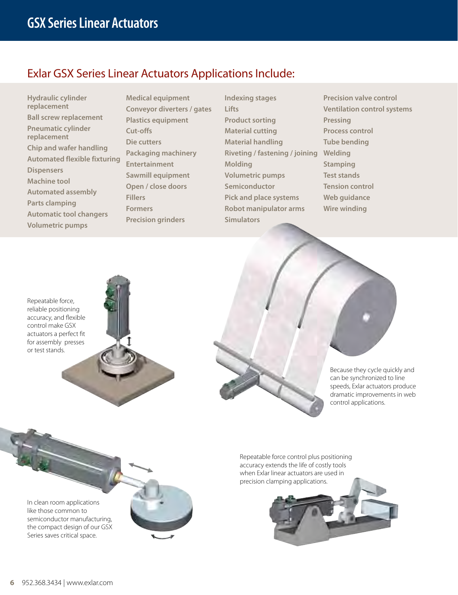### Exlar GSX Series Linear Actuators Applications Include:

**Hydraulic cylinder replacement Ball screw replacement Pneumatic cylinder replacement Chip and wafer handling Automated flexible fixturing Dispensers Machine tool Automated assembly Parts clamping Automatic tool changers Volumetric pumps**

**Medical equipment Conveyor diverters / gates Plastics equipment Cut-offs Die cutters Packaging machinery Entertainment Sawmill equipment Open / close doors Fillers Formers Precision grinders**

**Indexing stages Lifts Product sorting Material cutting Material handling Riveting / fastening / joining Molding Volumetric pumps Semiconductor Pick and place systems Robot manipulator arms Simulators**

**Precision valve control Ventilation control systems Pressing Process control Tube bending Welding Stamping Test stands Tension control Web guidance Wire winding**

Repeatable force, reliable positioning accuracy, and flexible control make GSX actuators a perfect fit for assembly presses or test stands.





In clean room applications like those common to semiconductor manufacturing, the compact design of our GSX Series saves critical space.



Repeatable force control plus positioning accuracy extends the life of costly tools when Exlar linear actuators are used in precision clamping applications.

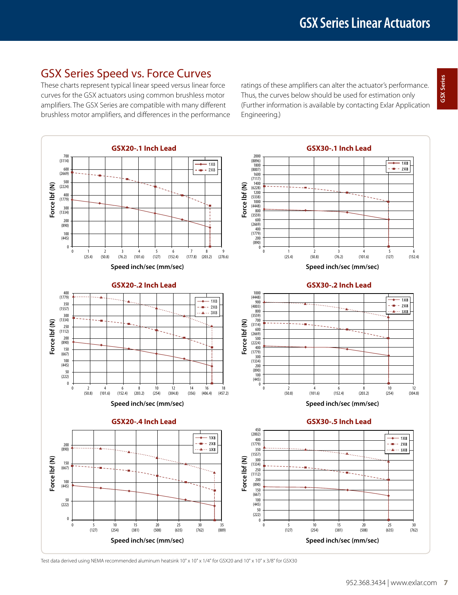### GSX Series Speed vs. Force Curves

These charts represent typical linear speed versus linear force curves for the GSX actuators using common brushless motor amplifiers. The GSX Series are compatible with many different brushless motor amplifiers, and differences in the performance

ratings of these amplifiers can alter the actuator's performance. Thus, the curves below should be used for estimation only (Further information is available by contacting Exlar Application Engineering.)



Test data derived using NEMA recommended aluminum heatsink 10" x 10" x 1/4" for GSX20 and 10" x 10" x 3/8" for GSX30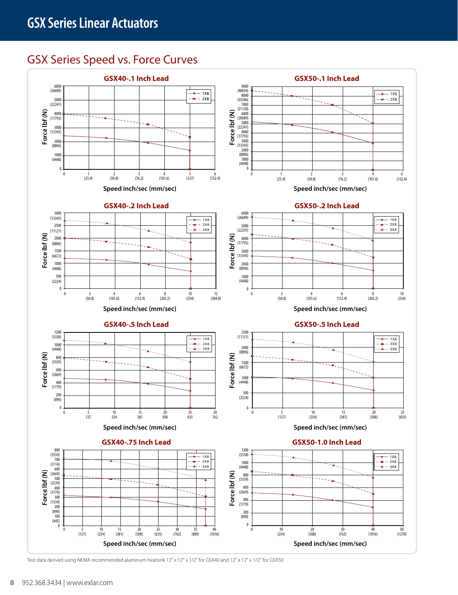## GSX Series Speed vs. Force Curves



Test data derived using NEMA recommended aluminum heatsink 12" x 12" x 1/2" for GSX40 and 12" x 12" x 1/2" for GSX50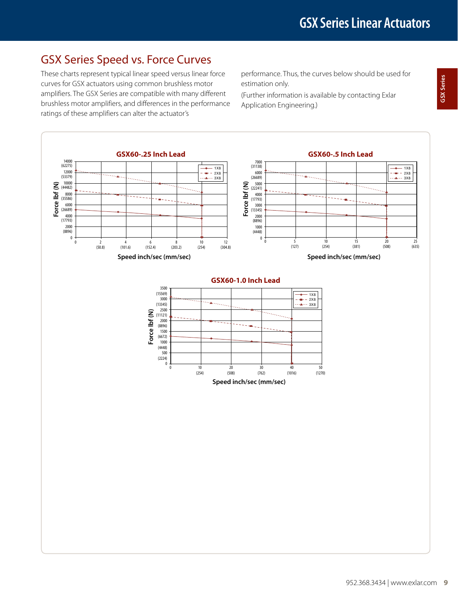## GSX Series Speed vs. Force Curves

These charts represent typical linear speed versus linear force curves for GSX actuators using common brushless motor amplifiers. The GSX Series are compatible with many different brushless motor amplifiers, and differences in the performance ratings of these amplifiers can alter the actuator's

performance. Thus, the curves below should be used for estimation only.

(Further information is available by contacting Exlar Performance. Thus, the earves below should be used for the estimation only.<br> **GSX Series Contacting Exlar**<br>
Application Engineering.)

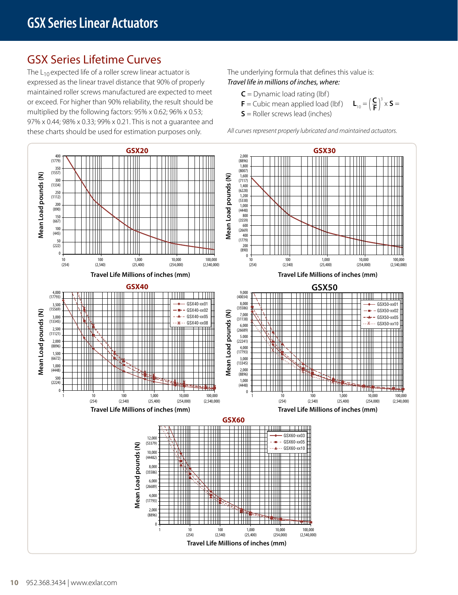## GSX Series Lifetime Curves

The  $L_{10}$  expected life of a roller screw linear actuator is expressed as the linear travel distance that 90% of properly maintained roller screws manufactured are expected to meet or exceed. For higher than 90% reliability, the result should be multiplied by the following factors: 95% x 0.62; 96% x 0.53; 97% x 0.44; 98% x 0.33; 99% x 0.21. This is not a guarantee and these charts should be used for estimation purposes only.

The underlying formula that defines this value is: *Travel life in millions of inches, where:*

- $C =$  Dynamic load rating (lbf)
- **= Cubic mean applied load (lbf) L**<sub>10</sub> =  $(\frac{C}{F})^3 \times S =$
- **S** = Roller screws lead (inches)

*All curves represent properly lubricated and maintained actuators.*

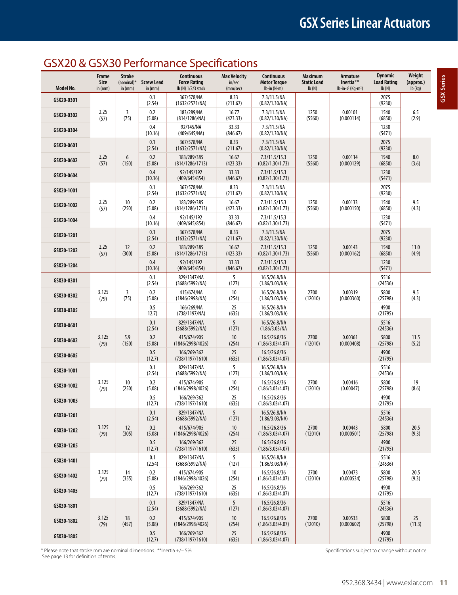## GSX20 & GSX30 Performance Specifications

| Model No.  | Frame<br>Size<br>in $(mm)$ | <b>Stroke</b><br>(nominal) $*$<br>in (mm) | <b>Screw Lead</b><br>in (mm) | Continuous<br><b>Maximum</b><br><b>Max Velocity</b><br><b>Continuous</b><br>Armature<br>Inertia**<br><b>Force Rating</b><br><b>Motor Torque</b><br><b>Static Load</b><br>in/sec<br>lb (N) 1/2/3 stack<br>(mm/sec)<br>$lb-in(N-m)$<br>Ib(N)<br>$lb-in-s2$ (Kg-m <sup>2</sup> ) |                   |                                   | <b>Dynamic</b><br><b>Load Rating</b><br>Ib(N) | Weight<br>(approx.)<br>$Ib$ (kg) |                 |               |
|------------|----------------------------|-------------------------------------------|------------------------------|-------------------------------------------------------------------------------------------------------------------------------------------------------------------------------------------------------------------------------------------------------------------------------|-------------------|-----------------------------------|-----------------------------------------------|----------------------------------|-----------------|---------------|
| GSX20-0301 |                            |                                           | 0.1<br>(2.54)                | 367/578/NA<br>(1632/2571/NA)                                                                                                                                                                                                                                                  | 8.33<br>(211.67)  | 7.3/11.5/NA<br>(0.82/1.30/NA)     |                                               |                                  | 2075<br>(9230)  |               |
| GSX20-0302 | 2.25<br>(57)               | 3<br>(75)                                 | 0.2<br>(5.08)                | 183/289/NA<br>(814/1286/NA)                                                                                                                                                                                                                                                   | 16.77<br>(423.33) | 7.3/11.5/NA<br>(0.82/1.30/NA)     | 1250<br>(5560)                                | 0.00101<br>(0.000114)            | 1540<br>(6850)  | 6.5<br>(2.9)  |
| GSX20-0304 |                            |                                           | 0.4<br>(10.16)               | 92/145/NA<br>(409/645/NA)                                                                                                                                                                                                                                                     | 33.33<br>(846.67) | 7.3/11.5/NA<br>(0.82/1.30/NA)     |                                               |                                  | 1230<br>(5471)  |               |
| GSX20-0601 |                            |                                           | 0.1<br>(2.54)                | 367/578/NA<br>(1632/2571/NA)                                                                                                                                                                                                                                                  | 8.33<br>(211.67)  | 7.3/11.5/NA<br>(0.82/1.30/NA)     |                                               |                                  | 2075<br>(9230)  |               |
| GSX20-0602 | 2.25<br>(57)               | 6<br>(150)                                | 0.2<br>(5.08)                | 183/289/385<br>(814/1286/1713)                                                                                                                                                                                                                                                | 16.67<br>(423.33) | 7.3/11.5/15.3<br>(0.82/1.30/1.73) | 1250<br>(5560)                                | 0.00114<br>(0.000129)            | 1540<br>(6850)  | 8.0<br>(3.6)  |
| GSX20-0604 |                            |                                           | 0.4<br>(10.16)               | 92/145/192<br>(409/645/854)                                                                                                                                                                                                                                                   | 33.33<br>(846.67) | 7.3/11.5/15.3<br>(0.82/1.30/1.73) |                                               |                                  | 1230<br>(5471)  |               |
| GSX20-1001 |                            |                                           | 0.1<br>(2.54)                | 367/578/NA<br>(1632/2571/NA)                                                                                                                                                                                                                                                  | 8.33<br>(211.67)  | 7.3/11.5/NA<br>(0.82/1.30/NA)     |                                               |                                  | 2075<br>(9230)  |               |
| GSX20-1002 | 2.25<br>(57)               | 10<br>(250)                               | 0.2<br>(5.08)                | 183/289/385<br>(814/1286/1713)                                                                                                                                                                                                                                                | 16.67<br>(423.33) | 7.3/11.5/15.3<br>(0.82/1.30/1.73) | 1250<br>(5560)                                | 0.00133<br>(0.000150)            | 1540<br>(6850)  | 9.5<br>(4.3)  |
| GSX20-1004 |                            |                                           | 0.4<br>(10.16)               | 92/145/192<br>(409/645/854)                                                                                                                                                                                                                                                   | 33.33<br>(846.67) | 7.3/11.5/15.3<br>(0.82/1.30/1.73) |                                               |                                  | 1230<br>(5471)  |               |
| GSX20-1201 |                            |                                           | 0.1<br>(2.54)                | 367/578/NA<br>(1632/2571/NA)                                                                                                                                                                                                                                                  | 8.33<br>(211.67)  | 7.3/11.5/NA<br>(0.82/1.30/NA)     |                                               |                                  | 2075<br>(9230)  |               |
| GSX20-1202 | 2.25<br>(57)               | 12<br>(300)                               | 0.2<br>(5.08)                | 183/289/385<br>(814/1286/1713)                                                                                                                                                                                                                                                | 16.67<br>(423.33) | 7.3/11.5/15.3<br>(0.82/1.30/1.73) | 1250<br>(5560)                                | 0.00143<br>(0.000162)            | 1540<br>(6850)  | 11.0<br>(4.9) |
| GSX20-1204 |                            |                                           | 0.4<br>(10.16)               | 92/145/192<br>(409/645/854)                                                                                                                                                                                                                                                   | 33.33<br>(846.67) | 7.3/11.5/15.3<br>(0.82/1.30/1.73) |                                               |                                  | 1230<br>(5471)  |               |
| GSX30-0301 |                            |                                           | 0.1<br>(2.54)                | 829/1347/NA<br>(3688/5992/NA)                                                                                                                                                                                                                                                 | 5<br>(127)        | 16.5/26.8/NA<br>(1.86/3.03/NA)    |                                               |                                  | 5516<br>(24536) |               |
| GSX30-0302 | 3.125<br>(79)              | 3<br>(75)                                 | 0.2<br>(5.08)                | 415/674/NA<br>(1846/2998/NA)                                                                                                                                                                                                                                                  | 10<br>(254)       | 16.5/26.8/NA<br>(1.86/3.03/NA)    | 2700<br>(12010)                               | 0.00319<br>(0.000360)            | 5800<br>(25798) | 9.5<br>(4.3)  |
| GSX30-0305 |                            |                                           | 0.5<br>12.7)                 | 166/269/NA<br>(738/1197/NA)                                                                                                                                                                                                                                                   | 25<br>(635)       | 16.5/26.8/NA<br>(1.86/3.03/NA)    |                                               |                                  | 4900<br>(21795) |               |
| GSX30-0601 |                            |                                           | 0.1<br>(2.54)                | 829/1347/NA<br>(3688/5992/NA)                                                                                                                                                                                                                                                 | 5<br>(127)        | 16.5/26.8/NA<br>(1.86/3.03/NA)    |                                               |                                  | 5516<br>(24536) |               |
| GSX30-0602 | 3.125<br>(79)              | 5.9<br>(150)                              | 0.2<br>(5.08)                | 415/674/905<br>(1846/2998/4026)                                                                                                                                                                                                                                               | 10<br>(254)       | 16.5/26.8/36<br>(1.86/3.03/4.07)  | 2700<br>(12010)                               | 0.00361<br>(0.000408)            | 5800<br>(25798) | 11.5<br>(5.2) |
| GSX30-0605 |                            |                                           | 0.5<br>(12.7)                | 166/269/362<br>(738/1197/1610)                                                                                                                                                                                                                                                | 25<br>(635)       | 16.5/26.8/36<br>(1.86/3.03/4.07)  |                                               |                                  | 4900<br>(21795) |               |
| GSX30-1001 |                            |                                           | 0.1<br>(2.54)                | 829/1347/NA<br>(3688/5992/NA)                                                                                                                                                                                                                                                 | 5<br>(127)        | 16.5/26.8/NA<br>(1.86/3.03/NA)    |                                               |                                  | 5516<br>(24536) |               |
| GSX30-1002 | 3.125<br>(79)              | 10<br>(250)                               | 0.2<br>(5.08)                | 415/674/905<br>(1846/2998/4026)                                                                                                                                                                                                                                               | 10<br>(254)       | 16.5/26.8/36<br>(1.86/3.03/4.07)  | 2700<br>(12010)                               | 0.00416<br>(0.00047)             | 5800<br>(25798) | 19<br>(8.6)   |
| GSX30-1005 |                            |                                           | 0.5<br>(12.7)                | 166/269/362<br>(738/1197/1610)                                                                                                                                                                                                                                                | 25<br>(635)       | 16.5/26.8/36<br>(1.86/3.03/4.07)  |                                               |                                  | 4900<br>(21795) |               |
| GSX30-1201 |                            |                                           | 0.1<br>(2.54)                | 829/1347/NA<br>(3688/5992/NA)                                                                                                                                                                                                                                                 | 5<br>(127)        | 16.5/26.8/NA<br>(1.86/3.03/NA)    |                                               |                                  | 5516<br>(24536) |               |
| GSX30-1202 | 3.125<br>(79)              | 12<br>(305)                               | 0.2<br>(5.08)                | 415/674/905<br>(1846/2998/4026)                                                                                                                                                                                                                                               | 10<br>(254)       | 16.5/26.8/36<br>(1.86/3.03/4.07)  | 2700<br>(12010)                               | 0.00443<br>(0.000501)            | 5800<br>(25798) | 20.5<br>(9.3) |
| GSX30-1205 |                            |                                           | 0.5<br>(12.7)                | 166/269/362<br>(738/1197/1610)                                                                                                                                                                                                                                                | 25<br>(635)       | 16.5/26.8/36<br>(1.86/3.03/4.07)  |                                               |                                  | 4900<br>(21795) |               |
| GSX30-1401 |                            |                                           | 0.1<br>(2.54)                | 829/1347/NA<br>(3688/5992/NA)                                                                                                                                                                                                                                                 | 5<br>(127)        | 16.5/26.8/NA<br>(1.86/3.03/NA)    |                                               |                                  | 5516<br>(24536) |               |
| GSX30-1402 | 3.125<br>(79)              | 14<br>(355)                               | 0.2<br>(5.08)                | 415/674/905<br>(1846/2998/4026)                                                                                                                                                                                                                                               | 10<br>(254)       | 16.5/26.8/36<br>(1.86/3.03/4.07)  | 2700<br>(12010)                               | 0.00473<br>(0.000534)            | 5800<br>(25798) | 20.5<br>(9.3) |
| GSX30-1405 |                            |                                           | 0.5<br>(12.7)                | 166/269/362<br>(738/1197/1610)                                                                                                                                                                                                                                                | 25<br>(635)       | 16.5/26.8/36<br>(1.86/3.03/4.07)  |                                               |                                  | 4900<br>(21795) |               |
| GSX30-1801 |                            |                                           | 0.1<br>(2.54)                | 829/1347/NA<br>(3688/5992/NA)                                                                                                                                                                                                                                                 | 5<br>(127)        | 16.5/26.8/36<br>(1.86/3.03/4.07)  |                                               |                                  | 5516<br>(24536) |               |
| GSX30-1802 | 3.125<br>(79)              | 18<br>(457)                               | 0.2<br>(5.08)                | 415/674/905<br>(1846/2998/4026)                                                                                                                                                                                                                                               | 10<br>(254)       | 16.5/26.8/36<br>(1.86/3.03/4.07)  | 2700<br>(12010)                               | 0.00533<br>(0.000602)            | 5800<br>(25798) | 25<br>(11.3)  |
| GSX30-1805 |                            |                                           | 0.5<br>(12.7)                | 166/269/362<br>(738/1197/1610)                                                                                                                                                                                                                                                | 25<br>(635)       | 16.5/26.8/36<br>(1.86/3.03/4.07)  |                                               |                                  | 4900<br>(21795) |               |

\* Please note that stroke mm are nominal dimensions. \*\*Inertia +/- 5% Specifications subject to change without notice. See page 13 for definition of terms.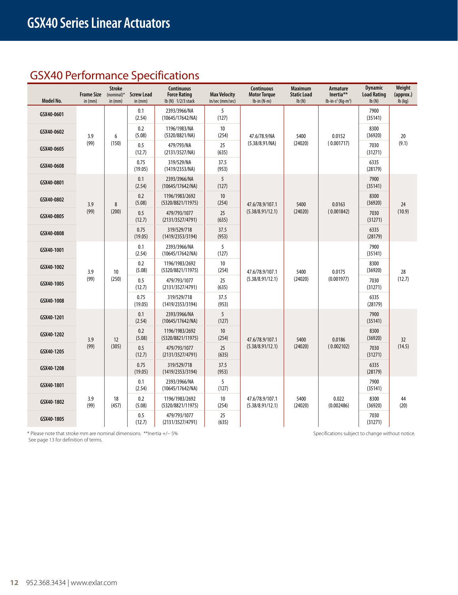## GSX40 Performance Specifications

| Model No.  | <b>Frame Size</b><br>in $(mm)$ | <b>Stroke</b><br>$(nominal)*$<br>in (mm) | <b>Screw Lead</b><br>in (mm)                                                                               | <b>Continuous</b><br><b>Force Rating</b><br>Ib (N) 1/2/3 stack | <b>Max Velocity</b><br>in/sec (mm/sec) | <b>Continuous</b><br><b>Motor Torque</b><br>$lb-in(N-m)$ | <b>Maximum</b><br><b>Static Load</b><br>$\mathsf{lb}(\mathsf{N})$ | Armature<br>Inertia**<br>$lb-in-s^2$ (Kg-m <sup>2</sup> ) | <b>Dynamic</b><br><b>Load Rating</b><br>lb(N) | Weight<br>(approx.)<br>$lb$ (kg) |
|------------|--------------------------------|------------------------------------------|------------------------------------------------------------------------------------------------------------|----------------------------------------------------------------|----------------------------------------|----------------------------------------------------------|-------------------------------------------------------------------|-----------------------------------------------------------|-----------------------------------------------|----------------------------------|
| GSX40-0601 |                                |                                          | 0.1<br>(2.54)                                                                                              | 2393/3966/NA<br>(10645/17642/NA)                               | 5<br>(127)                             |                                                          |                                                                   |                                                           | 7900<br>(35141)                               |                                  |
| GSX40-0602 | 3.9                            | 6                                        | 0.2<br>(5.08)                                                                                              | 1196/1983/NA<br>(5320/8821/NA)                                 | 10<br>(254)                            | 47.6/78.9/NA                                             | 5400                                                              | 0.0152                                                    | 8300<br>(36920)                               | 20                               |
| GSX40-0605 | (99)                           | (150)                                    | 0.5<br>(12.7)                                                                                              | 479/793/NA<br>(2131/3527/NA)                                   | 25<br>(635)                            | (5.38/8.91/NA)                                           | (24020)                                                           | (0.001717)                                                | 7030<br>(31271)                               | (9.1)                            |
| GSX40-0608 |                                |                                          | 0.75<br>(19.05)                                                                                            | 319/529/NA<br>(1419/2353/NA)                                   | 37.5<br>(953)                          |                                                          |                                                                   |                                                           | 6335<br>(28179)                               |                                  |
| GSX40-0801 |                                |                                          | 0.1<br>(2.54)                                                                                              | 2393/3966/NA<br>(10645/17642/NA)                               | 5<br>(127)                             |                                                          |                                                                   |                                                           | 7900<br>(35141)                               |                                  |
| GSX40-0802 | 3.9                            | $\bf 8$                                  | 0.2<br>(5.08)                                                                                              | 1196/1983/2692<br>(5320/8821/11975)                            | 10<br>(254)                            | 47.6/78.9/107.1                                          | 5400                                                              | 0.0163                                                    | 8300<br>(36920)                               | 24                               |
| GSX40-0805 | (99)                           | (200)                                    | 0.5<br>(12.7)                                                                                              | 479/793/1077<br>(2131/3527/4791)                               | 25<br>(635)                            | (5.38/8.91/12.1)                                         | (24020)                                                           | (0.001842)                                                | 7030<br>(31271)                               | (10.9)                           |
| GSX40-0808 |                                |                                          | 0.75<br>(19.05)                                                                                            | 319/529/718<br>(1419/2353/3194)                                | 37.5<br>(953)                          |                                                          |                                                                   |                                                           | 6335<br>(28179)                               |                                  |
| GSX40-1001 |                                | 10                                       | 0.1<br>(2.54)                                                                                              | 2393/3966/NA<br>(10645/17642/NA)                               | 5<br>(127)                             |                                                          |                                                                   |                                                           | 7900<br>(35141)                               |                                  |
| GSX40-1002 | 3.9                            |                                          | 0.2<br>(5.08)                                                                                              | 1196/1983/2692<br>(5320/8821/11975)                            | 10<br>(254)                            | 47.6/78.9/107.1                                          | 5400                                                              | 0.0175                                                    | 8300<br>(36920)                               | 28                               |
| GSX40-1005 | (99)                           | (250)                                    | 0.5<br>(12.7)                                                                                              | 479/793/1077<br>(2131/3527/4791)                               | 25<br>(635)                            | (5.38/8.91/12.1)                                         | (24020)                                                           | (0.001977)                                                | 7030<br>(31271)                               | (12.7)                           |
| GSX40-1008 |                                |                                          | 0.75<br>(19.05)                                                                                            | 319/529/718<br>(1419/2353/3194)                                | 37.5<br>(953)                          |                                                          |                                                                   |                                                           | 6335<br>(28179)                               |                                  |
| GSX40-1201 |                                |                                          | 0.1<br>(2.54)                                                                                              | 2393/3966/NA<br>(10645/17642/NA)                               | 5<br>(127)                             |                                                          |                                                                   |                                                           | 7900<br>(35141)                               |                                  |
| GSX40-1202 | 3.9                            | 12                                       | 0.2<br>(5.08)                                                                                              | 1196/1983/2692<br>(5320/8821/11975)                            | 10<br>(254)                            | 47.6/78.9/107.1                                          | 5400                                                              | 0.0186                                                    | 8300<br>(36920)                               | 32                               |
| GSX40-1205 | (99)                           | (305)                                    | 0.5<br>(12.7)                                                                                              | 479/793/1077<br>(2131/3527/4791)                               | 25<br>(635)                            | (5.38/8.91/12.1)                                         | (24020)                                                           | (0.002102)                                                | 7030<br>(31271)                               | (14.5)                           |
| GSX40-1208 |                                |                                          | 0.75<br>(19.05)                                                                                            | 319/529/718<br>(1419/2353/3194)                                | 37.5<br>(953)                          |                                                          |                                                                   |                                                           | 6335<br>(28179)                               |                                  |
| GSX40-1801 |                                |                                          | 0.1<br>(2.54)                                                                                              | 2393/3966/NA<br>(10645/17642/NA)                               | 5<br>(127)                             |                                                          |                                                                   |                                                           | 7900<br>(35141)                               |                                  |
| GSX40-1802 | 3.9<br>(99)                    | 18<br>(457)                              | 0.2<br>1196/1983/2692<br>10<br>47.6/78.9/107.1<br>(5.08)<br>(5320/8821/11975)<br>(254)<br>(5.38/8.91/12.1) | 5400<br>(24020)                                                | 0.022<br>(0.002486)                    | 8300<br>(36920)                                          | 44<br>(20)                                                        |                                                           |                                               |                                  |
| GSX40-1805 |                                |                                          | 0.5<br>(12.7)                                                                                              | 479/793/1077<br>(2131/3527/4791)                               | 25<br>(635)                            |                                                          |                                                                   |                                                           | 7030<br>(31271)                               |                                  |

\* Please note that stroke mm are nominal dimensions. \*\*Inertia +/- 5% Specifications subject to change without notice.

See page 13 for definition of terms.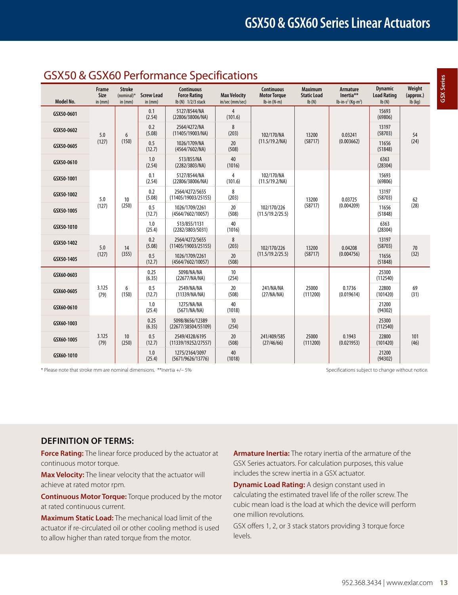### GSX50 & GSX60 Performance Specifications

| Model No.  | Frame<br>Size<br>in $(mm)$ | <b>Stroke</b><br>$(nominal)^*$<br>in (mm) | <b>Screw Lead</b><br>in (mm) | <b>Continuous</b><br><b>Force Rating</b><br>lb (N) 1/2/3 stack | <b>Max Velocity</b><br>in/sec (mm/sec) | <b>Continuous</b><br><b>Motor Torque</b><br>$lb-in(N-m)$ | <b>Maximum</b><br><b>Static Load</b><br>Ib(N) | <b>Armature</b><br>Inertia**<br>$lb-in-s^2$ (Kg-m <sup>2</sup> ) | <b>Dynamic</b><br><b>Load Rating</b><br>Ib(N) | Weight<br>(approx.)<br>$Ib$ (kg) |                      |                   |             |
|------------|----------------------------|-------------------------------------------|------------------------------|----------------------------------------------------------------|----------------------------------------|----------------------------------------------------------|-----------------------------------------------|------------------------------------------------------------------|-----------------------------------------------|----------------------------------|----------------------|-------------------|-------------|
| GSX50-0601 |                            |                                           | 0.1<br>(2.54)                | 5127/8544/NA<br>(22806/38006/NA)                               | 4<br>(101.6)                           |                                                          |                                               |                                                                  | 15693<br>(69806)                              |                                  |                      |                   |             |
| GSX50-0602 | 5.0                        | 6                                         | 0.2<br>(5.08)                | 2564/4272/NA<br>(11405/19003/NA)                               | 8<br>(203)                             | 102/170/NA                                               | 13200                                         | 0.03241                                                          | 13197<br>(58703)                              | 54                               |                      |                   |             |
| GSX50-0605 | (127)                      | (150)                                     | 0.5<br>(12.7)                | 1026/1709/NA<br>(4564/7602/NA)                                 | 20<br>(508)                            | (11.5/19.2/NA)                                           | (58717)                                       | (0.003662)                                                       | 11656<br>(51848)                              | (24)                             |                      |                   |             |
| GSX50-0610 |                            |                                           | 1.0<br>(2.54)                | 513/855/NA<br>(2282/3803/NA)                                   | 40<br>(1016)                           |                                                          |                                               |                                                                  | 6363<br>(28304)                               |                                  |                      |                   |             |
| GSX50-1001 |                            |                                           | 0.1<br>(2.54)                | 5127/8544/NA<br>(22806/38006/NA)                               | 4<br>(101.6)                           | 102/170/NA<br>(11.5/19.2/NA)                             |                                               |                                                                  | 15693<br>(69806)                              |                                  |                      |                   |             |
| GSX50-1002 | 5.0                        | 10                                        | 0.2<br>(5.08)                | 2564/4272/5655<br>(11405/19003/25155)                          | 8<br>(203)                             |                                                          | 13200                                         | 0.03725                                                          | 13197<br>(58703)                              | 62                               |                      |                   |             |
| GSX50-1005 | (127)                      | (250)                                     | 0.5<br>(12.7)                | 1026/1709/2261<br>(4564/7602/10057)                            | 20<br>(508)                            | 102/170/226<br>(11.5/19.2/25.5)                          | (58717)                                       | (0.004209)                                                       | 11656<br>(51848)                              | (28)                             |                      |                   |             |
| GSX50-1010 |                            |                                           | 1.0<br>(25.4)                | 513/855/1131<br>(2282/3803/5031)                               | 40<br>(1016)                           |                                                          |                                               |                                                                  | 6363<br>(28304)                               |                                  |                      |                   |             |
| GSX50-1402 | 5.0                        | 14                                        | 0.2<br>(5.08)                | 2564/4272/5655<br>(11405/19003/25155)                          | 8<br>(203)                             | 102/170/226                                              | 13200                                         | 0.04208                                                          | 13197<br>(58703)                              | 70                               |                      |                   |             |
| GSX50-1405 | (127)                      | (355)                                     | 0.5<br>(12.7)                | 1026/1709/2261<br>(4564/7602/10057)                            | 20<br>(508)                            | (11.5/19.2/25.5)                                         | (58717)                                       | (0.004756)                                                       | 11656<br>(51848)                              | (32)                             |                      |                   |             |
| GSX60-0603 |                            |                                           | 0.25<br>(6.35)               | 5098/NA/NA<br>(22677/NA/NA)                                    | 10<br>(254)                            |                                                          |                                               |                                                                  | 25300<br>(112540)                             |                                  |                      |                   |             |
| GSX60-0605 | 3.125<br>(79)              |                                           |                              | 6<br>(150)                                                     | 0.5<br>(12.7)                          | 2549/NA/NA<br>(11339/NA/NA)                              | 20<br>(508)                                   | 241/NA/NA<br>(27/NA/NA)                                          | 25000<br>(111200)                             | 0.1736<br>(0.019614)             | 22800<br>(101420)    | 69<br>(31)        |             |
| GSX60-0610 |                            |                                           | 1.0<br>(25.4)                | 1275/NA/NA<br>(5671/NA/NA)                                     | 40<br>(1018)                           |                                                          |                                               |                                                                  | 21200<br>(94302)                              |                                  |                      |                   |             |
| GSX60-1003 |                            |                                           | 0.25<br>(6.35)               | 5098/8656/12389<br>(22677/38504/55109)                         | 10<br>(254)                            |                                                          |                                               |                                                                  | 25300<br>(112540)                             |                                  |                      |                   |             |
| GSX60-1005 | 3.125<br>(79)              |                                           | 10<br>(250)                  |                                                                |                                        | 0.5<br>(12.7)                                            | 2549/4328/6195<br>(11339/19252/27557)         | 20<br>(508)                                                      | 241/409/585<br>(27/46/66)                     | 25000<br>(111200)                | 0.1943<br>(0.021953) | 22800<br>(101420) | 101<br>(46) |
| GSX60-1010 |                            |                                           | 1.0<br>(25.4)                | 1275/2164/3097<br>(5671/9626/13776)                            | 40<br>(1018)                           |                                                          |                                               |                                                                  | 21200<br>(94302)                              |                                  |                      |                   |             |

\* Please note that stroke mm are nominal dimensions. \*\*Inertia +/- 5% Specifications subject to change without notice.

### **Definition of Terms:**

**Force Rating:** The linear force produced by the actuator at continuous motor torque.

**Max Velocity:** The linear velocity that the actuator will achieve at rated motor rpm.

**Continuous Motor Torque:** Torque produced by the motor at rated continuous current.

**Maximum Static Load:** The mechanical load limit of the actuator if re-circulated oil or other cooling method is used to allow higher than rated torque from the motor.

**Armature Inertia:** The rotary inertia of the armature of the GSX Series actuators. For calculation purposes, this value includes the screw inertia in a GSX actuator.

**Dynamic Load Rating:** A design constant used in calculating the estimated travel life of the roller screw. The cubic mean load is the load at which the device will perform one million revolutions.

GSX offers 1, 2, or 3 stack stators providing 3 torque force levels.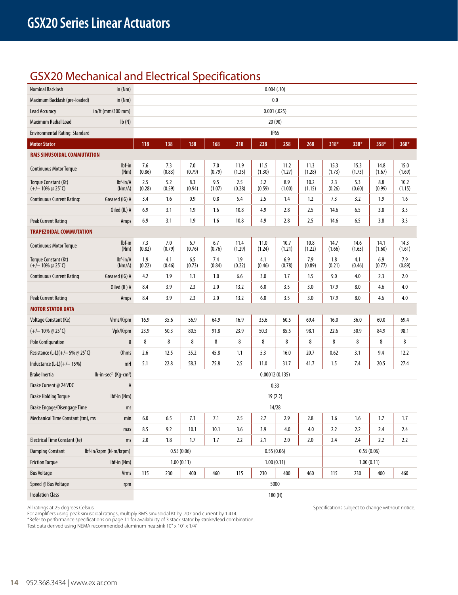## GSX20 Mechanical and Electrical Specifications

| Nominal Backlash                                             | in $(Nm)$                          |               |               |               |               |                | 0.004(.10)     |                  |                |                |                |                |                |
|--------------------------------------------------------------|------------------------------------|---------------|---------------|---------------|---------------|----------------|----------------|------------------|----------------|----------------|----------------|----------------|----------------|
| Maximum Backlash (pre-loaded)                                | in $(Nm)$                          |               |               |               |               |                |                | 0.0              |                |                |                |                |                |
| Lead Accuracy                                                | in/ft (mm/300 mm)                  |               |               |               |               |                | 0.001(.025)    |                  |                |                |                |                |                |
| Maximum Radial Load                                          | Ib(N)                              |               |               |               |               |                | 20 (90)        |                  |                |                |                |                |                |
| <b>Environmental Rating: Standard</b>                        |                                    |               |               |               |               |                |                | IP <sub>65</sub> |                |                |                |                |                |
| <b>Motor Stator</b>                                          |                                    | 118           | 138           | 158           | 168           | 218            | 238            | 258              | 268            | 318*           | 338*           | 358*           | 368*           |
| RMS SINUSOIDAL COMMUTATION                                   |                                    |               |               |               |               |                |                |                  |                |                |                |                |                |
| <b>Continuous Motor Torque</b>                               | lbf-in<br>(Nm)                     | 7.6<br>(0.86) | 7.3<br>(0.83) | 7.0<br>(0.79) | 7.0<br>(0.79) | 11.9<br>(1.35) | 11.5<br>(1.30) | 11.2<br>(1.27)   | 11.3<br>(1.28) | 15.3<br>(1.73) | 15.3<br>(1.73) | 14.8<br>(1.67) | 15.0<br>(1.69) |
| Torque Constant (Kt)<br>$(+/- 10\% \text{ @ } 25^{\circ}$ C) | $Ibf-in/A$<br>(Nm/A)               | 2.5<br>(0.28) | 5.2<br>(0.59) | 8.3<br>(0.94) | 9.5<br>(1.07) | 2.5<br>(0.28)  | 5.2<br>(0.59)  | 8.9<br>(1.00)    | 10.2<br>(1.15) | 2.3<br>(0.26)  | 5.3<br>(0.60)  | 8.8<br>(0.99)  | 10.2<br>(1.15) |
| <b>Continuous Current Rating:</b>                            | Greased (IG) A                     | 3.4           | 1.6           | 0.9           | 0.8           | 5.4            | 2.5            | 1.4              | 1.2            | 7.3            | 3.2            | 1.9            | 1.6            |
|                                                              | Oiled (IL) A                       | 6.9           | 3.1           | 1.9           | 1.6           | 10.8           | 4.9            | 2.8              | 2.5            | 14.6           | 6.5            | 3.8            | 3.3            |
| Peak Current Rating                                          | Amps                               | 6.9           | 3.1           | 1.9           | 1.6           | 10.8           | 4.9            | 2.8              | 2.5            | 14.6           | 6.5            | 3.8            | 3.3            |
| <b>TRAPEZOIDAL COMMUTATION</b>                               |                                    |               |               |               |               |                |                |                  |                |                |                |                |                |
| <b>Continuous Motor Torque</b>                               | lbf-in<br>(Nm)                     | 7.3<br>(0.82) | 7.0<br>(0.79) | 6.7<br>(0.76) | 6.7<br>(0.76) | 11.4<br>(1.29) | 11.0<br>(1.24) | 10.7<br>(1.21)   | 10.8<br>(1.22) | 14.7<br>(1.66) | 14.6<br>(1.65) | 14.1<br>(1.60) | 14.3<br>(1.61) |
| Torque Constant (Kt)<br>$(+/- 10\% \omega 25^{\circ}C)$      | lbf-in/A<br>(Nm/A)                 | 1.9<br>(0.22) | 4.1<br>(0.46) | 6.5<br>(0.73) | 7.4<br>(0.84) | 1.9<br>(0.22)  | 4.1<br>(0.46)  | 6.9<br>(0.78)    | 7.9<br>(0.89)  | 1.8<br>(0.21)  | 4.1<br>(0.46)  | 6.9<br>(0.77)  | 7.9<br>(0.89)  |
| <b>Continuous Current Rating</b>                             | Greased (IG) A                     | 4.2           | 1.9           | 1.1           | 1.0           | 6.6            | 3.0            | 1.7              | 1.5            | 9.0            | 4.0            | 2.3            | 2.0            |
|                                                              | Oiled (IL) A                       | 8.4           | 3.9           | 2.3           | 2.0           | 13.2           | 6.0            | 3.5              | 3.0            | 17.9           | 8.0            | 4.6            | 4.0            |
| Peak Current Rating                                          | Amps                               | 8.4           | 3.9           | 2.3           | 2.0           | 13.2           | 6.0            | 3.5              | 3.0            | 17.9           | 8.0            | 4.6            | 4.0            |
| <b>MOTOR STATOR DATA</b>                                     |                                    |               |               |               |               |                |                |                  |                |                |                |                |                |
| Voltage Constant (Ke)                                        | Vrms/Krpm                          | 16.9          | 35.6          | 56.9          | 64.9          | 16.9           | 35.6           | 60.5             | 69.4           | 16.0           | 36.0           | 60.0           | 69.4           |
| $(+/- 10\% \omega 25^{\circ})$                               | Vpk/Krpm                           | 23.9          | 50.3          | 80.5          | 91.8          | 23.9           | 50.3           | 85.5             | 98.1           | 22.6           | 50.9           | 84.9           | 98.1           |
| <b>Pole Configuration</b>                                    | 8                                  | 8             | 8             | 8             | 8             | 8              | 8              | 8                | 8              | 8              | 8              | 8              | 8              |
| Resistance (L-L)(+/-5% @ 25°C)                               | <b>Ohms</b>                        | 2.6           | 12.5          | 35.2          | 45.8          | 1.1            | 5.3            | 16.0             | 20.7           | 0.62           | 3.1            | 9.4            | 12.2           |
| Inductance $(L-L)(+/- 15%)$                                  | mH                                 | 5.1           | 22.8          | 58.3          | 75.8          | 2.5            | 11.0           | 31.7             | 41.7           | 1.5            | 7.4            | 20.5           | 27.4           |
| <b>Brake Inertia</b>                                         | $lb-in-sec2$ (Kg-cm <sup>2</sup> ) |               |               |               |               |                | 0.00012(0.135) |                  |                |                |                |                |                |
| Brake Current @ 24 VDC                                       | A                                  |               |               |               |               |                |                | 0.33             |                |                |                |                |                |
| <b>Brake Holding Torque</b>                                  | Ibf-in (Nm)                        |               |               |               |               |                | 19(2.2)        |                  |                |                |                |                |                |
| Brake Engage/Disengage Time                                  | ms                                 |               |               |               |               |                |                | 14/28            |                |                |                |                |                |
| Mechanical Time Constant (tm), ms                            | min                                | 6.0           | 6.5           | 7.1           | 7.1           | 2.5            | 2.7            | 2.9              | 2.8            | 1.6            | 1.6            | 1.7            | 1.7            |
|                                                              | max                                | 8.5           | 9.2           | 10.1          | 10.1          | 3.6            | 3.9            | 4.0              | 4.0            | 2.2            | 2.2            | 2.4            | 2.4            |
| <b>Electrical Time Constant (te)</b>                         | ms                                 | 2.0           | 1.8           | $1.7$         | 1.7           | 2.2            | 2.1            | 2.0              | 2.0            | 2.4            | 2.4            | 2.2            | 2.2            |
| <b>Damping Constant</b>                                      | Ibf-in/krpm (N-m/krpm)             |               |               | 0.55(0.06)    |               |                | 0.55(0.06)     |                  |                |                |                | 0.55(0.06)     |                |
| <b>Friction Torque</b>                                       | Ibf-in (Nm)                        |               |               | 1.00(0.11)    |               |                | 1.00(0.11)     |                  |                |                |                | 1.00(0.11)     |                |
| <b>Bus Voltage</b>                                           | Vrms                               | 115           | 230           | 400           | 460           | 115            | 230            | 400              | 460            | 115            | 230            | 400            | 460            |
| Speed @ Bus Voltage                                          | rpm                                |               |               |               |               |                | 5000           |                  |                |                |                |                |                |
| <b>Insulation Class</b>                                      |                                    |               |               |               |               |                |                | 180 (H)          |                |                |                |                |                |

For amplifiers using peak sinusoidal ratings, multiply RMS sinusoidal Kt by .707 and current by 1.414.

\*Refer to performance specifications on page 11 for availability of 3 stack stator by stroke/lead combination.

Test data derived using NEMA recommended aluminum heatsink 10" x 10" x 1/4"

All ratings at 25 degrees Celsius Specifications subject to change without notice.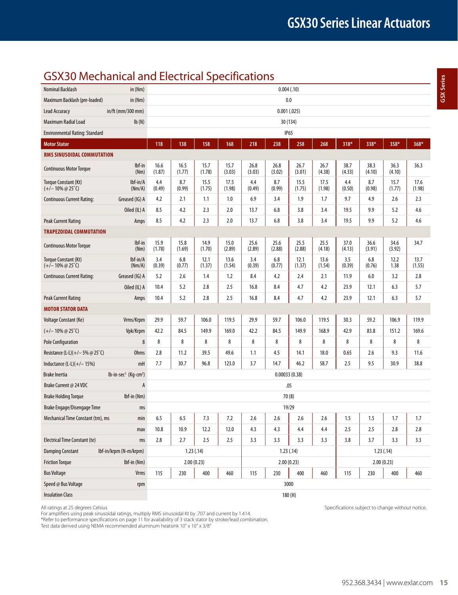**GSX Series GSX Series**

## GSX30 Mechanical and Electrical Specifications

| Nominal Backlash                                             | in (Nm)                            |                                                                                  |                |                |                |                | 0.004(.10)     |                |                |                |                |                |                |
|--------------------------------------------------------------|------------------------------------|----------------------------------------------------------------------------------|----------------|----------------|----------------|----------------|----------------|----------------|----------------|----------------|----------------|----------------|----------------|
| Maximum Backlash (pre-loaded)                                | in (Nm)                            |                                                                                  |                |                |                |                | 0.0            |                |                |                |                |                |                |
| Lead Accuracy                                                | in/ft (mm/300 mm)                  |                                                                                  |                |                |                |                | 0.001(.025)    |                |                |                |                |                |                |
| Maximum Radial Load                                          | Ib(N)                              |                                                                                  |                |                |                |                | 30 (134)       |                |                |                |                |                |                |
| Environmental Rating: Standard                               |                                    |                                                                                  |                |                |                |                | <b>IP65</b>    |                |                |                |                |                |                |
| <b>Motor Stator</b>                                          |                                    | 118                                                                              | 138            | 158            | 168            | 218            | 238            | 258            | 268            | 318*           | 338*           | 358*           | 368*           |
| RMS SINUSOIDAL COMMUTATION                                   |                                    |                                                                                  |                |                |                |                |                |                |                |                |                |                |                |
| <b>Continuous Motor Torque</b>                               | lbf-in<br>(Nm)                     | 16.6<br>(1.87)                                                                   | 16.5<br>(1.77) | 15.7<br>(1.78) | 15.7<br>(3.03) | 26.8<br>(3.03) | 26.8<br>(3.02) | 26.7<br>(3.01) | 26.7<br>(4.38) | 38.7<br>(4.33) | 38.3<br>(4.10) | 36.3<br>(4.10) | 36.3           |
| Torque Constant (Kt)<br>$(+/- 10\% \text{ @ } 25^{\circ}$ C) | $Ibf-in/A$<br>(Nm/A)               | 4.4<br>(0.49)                                                                    | 8.7<br>(0.99)  | 15.5<br>(1.75) | 17.5<br>(1.98) | 4.4<br>(0.49)  | 8.7<br>(0.99)  | 15.5<br>(1.75) | 17.5<br>(1.98) | 4.4<br>(0.50)  | 8.7<br>(0.98)  | 15.7<br>(1.77) | 17.6<br>(1.98) |
| <b>Continuous Current Rating:</b>                            | Greased (IG) A                     | 4.2                                                                              | 2.1            | 1.1            | 1.0            | 6.9            | 3.4            | 1.9            | 1.7            | 9.7            | 4.9            | 2.6            | 2.3            |
|                                                              | Oiled (IL) A                       | 8.5                                                                              | 4.2            | 2.3            | 2.0            | 13.7           | 6.8            | 3.8            | 3.4            | 19.5           | 9.9            | 5.2            | 4.6            |
| Peak Current Rating                                          | Amps                               | 8.5                                                                              | 4.2            | 2.3            | 2.0            | 13.7           | 6.8            | 3.8            | 3.4            | 19.5           | 9.9            | 5.2            | 4.6            |
| <b>TRAPEZOIDAL COMMUTATION</b>                               |                                    |                                                                                  |                |                |                |                |                |                |                |                |                |                |                |
| <b>Continuous Motor Torque</b>                               | lbf-in<br>(Nm)                     | 15.9<br>(1.78)                                                                   | 15.8<br>(1.69) | 14.9<br>(1.70) | 15.0<br>(2.89) | 25.6<br>(2.89) | 25.6<br>(2.88) | 25.5<br>(2.88) | 25.5<br>(4.18) | 37.0<br>(4.13) | 36.6<br>(3.91) | 34.6<br>(3.92) | 34.7           |
| Torque Constant (Kt)<br>$(+/- 10\% \ @ 25\degree C)$         | lbf-in/A<br>(Nm/A)                 | 3.4<br>(0.39)                                                                    | 6.8<br>(0.77)  | 12.1<br>(1.37) | 13.6<br>(1.54) | 3.4<br>(0.39)  | 6.8<br>(0.77)  | 12.1<br>(1.37) | 13.6<br>(1.54) | 3.5<br>(0.39)  | 6.8<br>(0.76)  | 12.2<br>1.38   | 13.7<br>(1.55) |
| <b>Continuous Current Rating:</b>                            | Greased (IG) A                     | 5.2                                                                              | 2.6            | 1.4            | 1.2            | 8.4            | 4.2            | 2.4            | 2.1            | 11.9           | 6.0            | 3.2            | 2.8            |
|                                                              | Oiled (IL) A                       | 10.4                                                                             | 5.2            | 2.8            | 2.5            | 16.8           | 8.4            | 4.7            | 4.2            | 23.9           | 12.1           | 6.3            | 5.7            |
| <b>Peak Current Rating</b>                                   | Amps                               | 10.4                                                                             | 5.2            | 2.8            | 2.5            | 16.8           | 8.4            | 4.7            | 4.2            | 23.9           | 12.1           | 6.3            | 5.7            |
| <b>MOTOR STATOR DATA</b>                                     |                                    |                                                                                  |                |                |                |                |                |                |                |                |                |                |                |
| Voltage Constant (Ke)                                        | Vrms/Krpm                          | 29.9                                                                             | 59.7           | 106.0          | 119.5          | 29.9           | 59.7           | 106.0          | 119.5          | 30.3           | 59.2           | 106.9          | 119.9          |
| $(+/- 10\% \omega 25^{\circ}$ C)                             | Vpk/Krpm                           | 42.2                                                                             | 84.5           | 149.9          | 169.0          | 42.2           | 84.5           | 149.9          | 168.9          | 42.9           | 83.8           | 151.2          | 169.6          |
| <b>Pole Configuration</b>                                    | 8                                  | 8                                                                                | 8              | 8              | 8              | 8              | 8              | 8              | 8              | 8              | 8              | 8              | 8              |
| Resistance (L-L)(+/-5% @ 25°C)                               | <b>Ohms</b>                        | 2.8                                                                              | 11.2           | 39.5           | 49.6           | 1.1            | 4.5            | 14.1           | 18.0           | 0.65           | 2.6            | 9.3            | 11.6           |
| Inductance $(L-L)(+/- 15%)$                                  | mH                                 | 7.7                                                                              | 30.7           | 96.8           | 123.0          | 3.7            | 14.7           | 46.2           | 58.7           | 2.5            | 9.5            | 30.9           | 38.8           |
| <b>Brake Inertia</b>                                         | $lb-in-sec2$ (Kg-cm <sup>2</sup> ) |                                                                                  |                |                |                |                | 0.00033(0.38)  |                |                |                |                |                |                |
| Brake Current @ 24 VDC                                       | A                                  |                                                                                  |                |                |                |                | .05            |                |                |                |                |                |                |
| <b>Brake Holding Torque</b>                                  | Ibf-in (Nm)                        |                                                                                  |                |                |                |                | 70(8)          |                |                |                |                |                |                |
| Brake Engage/Disengage Time                                  | ms                                 |                                                                                  |                |                |                |                | 19/29          |                |                |                |                |                |                |
| Mechanical Time Constant (tm), ms                            | min                                | 6.5                                                                              | 6.5            | 7.3            | 7.2            | 2.6            | 2.6            | 2.6            | 2.6            | 1.5            | 1.5            | 1.7            | 1.7            |
|                                                              | max                                | 10.8                                                                             | 10.9           | 12.2           | 12.0           | 4.3            | 4.3            | 4.4            | 4.4            | 2.5            | 2.5            | 2.8            | 2.8            |
| <b>Electrical Time Constant (te)</b>                         | ms                                 | 2.8                                                                              | 2.7            | 2.5            | 2.5            | 3.3            | 3.3            | 3.3            | 3.3            | 3.8            | 3.7            | 3.3            | 3.3            |
| <b>Damping Constant</b>                                      | lbf-in/krpm (N-m/krpm)             |                                                                                  |                | 1.23(.14)      |                |                | 1.23(.14)      |                |                |                | 1.23(.14)      |                |                |
| <b>Friction Torque</b>                                       | Ibf-in (Nm)                        |                                                                                  |                | 2.00(0.23)     |                |                | 2.00(0.23)     |                |                |                |                | 2.00(0.23)     |                |
| <b>Bus Voltage</b>                                           | Vrms                               | 400<br>460<br>400<br>460<br>400<br>115<br>230<br>115<br>230<br>115<br>230<br>460 |                |                |                |                |                |                |                |                |                |                |                |
| Speed @ Bus Voltage                                          | rpm                                | 3000                                                                             |                |                |                |                |                |                |                |                |                |                |                |
| <b>Insulation Class</b>                                      |                                    |                                                                                  | 180 (H)        |                |                |                |                |                |                |                |                |                |                |

All ratings at 25 degrees Celsius Specifications subject to change without notice.

For amplifiers using peak sinusoidal ratings, multiply RMS sinusoidal Kt by .707 and current by 1.414. \*Refer to performance specifications on page 11 for availability of 3 stack stator by stroke/lead combination.

Test data derived using NEMA recommended aluminum heatsink 10" x 10" x 3/8"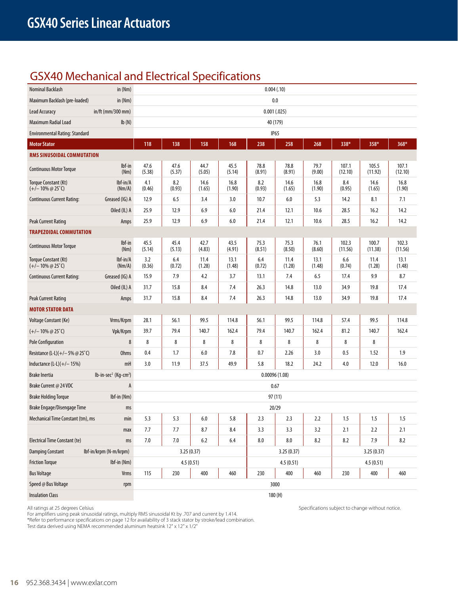## GSX40 Mechanical and Electrical Specifications

| Nominal Backlash                                             | in $(Nm)$                                    |                |                |                |                | 0.004(.10)     |                |                |                  |                  |                  |
|--------------------------------------------------------------|----------------------------------------------|----------------|----------------|----------------|----------------|----------------|----------------|----------------|------------------|------------------|------------------|
| Maximum Backlash (pre-loaded)                                | in (Nm)                                      |                |                |                |                |                | 0.0            |                |                  |                  |                  |
| <b>Lead Accuracy</b>                                         | in/ft (mm/300 mm)                            |                |                |                |                | 0.001(.025)    |                |                |                  |                  |                  |
| Maximum Radial Load                                          | Ib(N)                                        |                |                |                |                | 40 (179)       |                |                |                  |                  |                  |
| <b>Environmental Rating: Standard</b>                        |                                              |                |                |                |                | <b>IP65</b>    |                |                |                  |                  |                  |
| <b>Motor Stator</b>                                          |                                              | 118            | 138            | 158            | 168            | 238            | 258            | 268            | 338*             | 358*             | 368*             |
| RMS SINUSOIDAL COMMUTATION                                   |                                              |                |                |                |                |                |                |                |                  |                  |                  |
| <b>Continuous Motor Torque</b>                               | Ibf-in<br>(Nm)                               | 47.6<br>(5.38) | 47.6<br>(5.37) | 44.7<br>(5.05) | 45.5<br>(5.14) | 78.8<br>(8.91) | 78.8<br>(8.91) | 79.7<br>(9.00) | 107.1<br>(12.10) | 105.5<br>(11.92) | 107.1<br>(12.10) |
| Torque Constant (Kt)<br>$(+/- 10\% \text{ @ } 25^{\circ}$ C) | lbf-in/A<br>(Nm/A)                           | 4.1<br>(0.46)  | 8.2<br>(0.93)  | 14.6<br>(1.65) | 16.8<br>(1.90) | 8.2<br>(0.93)  | 14.6<br>(1.65) | 16.8<br>(1.90) | 8.4<br>(0.95)    | 14.6<br>(1.65)   | 16.8<br>(1.90)   |
| <b>Continuous Current Rating:</b>                            | Greased (IG) A                               | 12.9           | 6.5            | 3.4            | 3.0            | 10.7           | 6.0            | 5.3            | 14.2             | 8.1              | 7.1              |
|                                                              | Oiled (IL) A                                 | 25.9           | 12.9           | 6.9            | 6.0            | 21.4           | 12.1           | 10.6           | 28.5             | 16.2             | 14.2             |
| <b>Peak Current Rating</b>                                   | Amps                                         | 25.9           | 12.9           | 6.9            | 6.0            | 21.4           | 12.1           | 10.6           | 28.5             | 16.2             | 14.2             |
| <b>TRAPEZOIDAL COMMUTATION</b>                               |                                              |                |                |                |                |                |                |                |                  |                  |                  |
| <b>Continuous Motor Torque</b>                               | lbf-in<br>(Nm)                               | 45.5<br>(5.14) | 45.4<br>(5.13) | 42.7<br>(4.83) | 43.5<br>(4.91) | 75.3<br>(8.51) | 75.3<br>(8.50) | 76.1<br>(8.60) | 102.3<br>(11.56) | 100.7<br>(11.38) | 102.3<br>(11.56) |
| Torque Constant (Kt)<br>$(+/- 10\% \omega 25^{\circ}$ C)     | lbf-in/A<br>(Nm/A)                           | 3.2<br>(0.36)  | 6.4<br>(0.72)  | 11.4<br>(1.28) | 13.1<br>(1.48) | 6.4<br>(0.72)  | 11.4<br>(1.28) | 13.1<br>(1.48) | 6.6<br>(0.74)    | 11.4<br>(1.28)   | 13.1<br>(1.48)   |
| <b>Continuous Current Rating:</b>                            | Greased (IG) A                               | 15.9           | 7.9            | 4.2            | 3.7            | 13.1           | 7.4            | 6.5            | 17.4             | 9.9              | 8.7              |
|                                                              | Oiled (IL) A                                 | 31.7           | 15.8           | 8.4            | 7.4            | 26.3           | 14.8           | 13.0           | 34.9             | 19.8             | 17.4             |
| <b>Peak Current Rating</b>                                   | Amps                                         | 31.7           | 15.8           | 8.4            | 7.4            | 26.3           | 14.8           | 13.0           | 34.9             | 19.8             | 17.4             |
| <b>MOTOR STATOR DATA</b>                                     |                                              |                |                |                |                |                |                |                |                  |                  |                  |
| Voltage Constant (Ke)                                        | Vrms/Krpm                                    | 28.1           | 56.1           | 99.5           | 114.8          | 56.1           | 99.5           | 114.8          | 57.4             | 99.5             | 114.8            |
| $(+/- 10\% \omega 25^{\circ}$ C)                             | Vpk/Krpm                                     | 39.7           | 79.4           | 140.7          | 162.4          | 79.4           | 140.7          | 162.4          | 81.2             | 140.7            | 162.4            |
| <b>Pole Configuration</b>                                    | 8                                            | 8              | 8              | 8              | 8              | 8              | 8              | 8              | 8                | 8                |                  |
| Resistance (L-L)(+/-5% @ 25°C)                               | <b>Ohms</b>                                  | 0.4            | 1.7            | 6.0            | 7.8            | 0.7            | 2.26           | 3.0            | 0.5              | 1.52             | 1.9              |
| Inductance $(L-L)(+/- 15%)$                                  | mH                                           | 3.0            | 11.9           | 37.5           | 49.9           | 5.8            | 18.2           | 24.2           | 4.0              | 12.0             | 16.0             |
| <b>Brake Inertia</b>                                         | lb-in-sec <sup>2</sup> (Kg-cm <sup>2</sup> ) |                |                |                |                | 0.00096(1.08)  |                |                |                  |                  |                  |
| Brake Current @ 24 VDC                                       | A                                            |                |                |                |                |                | 0.67           |                |                  |                  |                  |
| <b>Brake Holding Torque</b>                                  | Ibf-in (Nm)                                  |                |                |                |                | 97 (11)        |                |                |                  |                  |                  |
| Brake Engage/Disengage Time                                  | ms                                           |                |                |                |                |                | 20/29          |                |                  |                  |                  |
| Mechanical Time Constant (tm), ms                            | min                                          | 5.3            | 5.3            | 6.0            | 5.8            | 2.3            | 2.3            | 2.2            | 1.5              | 1.5              | 1.5              |
|                                                              | max                                          | 7.7            | 7.7            | 8.7            | 8.4            | 3.3            | 3.3            | 3.2            | 2.1              | 2.2              | 2.1              |
| <b>Electrical Time Constant (te)</b>                         | ms                                           | 7.0            | 7.0            | 6.2            | 6.4            | 8.0            | 8.0            | 8.2            | 8.2              | 7.9              | 8.2              |
| <b>Damping Constant</b>                                      | lbf-in/krpm (N-m/krpm)                       |                |                | 3.25(0.37)     |                |                | 3.25(0.37)     |                |                  | 3.25 (0.37)      |                  |
| <b>Friction Torque</b>                                       | Ibf-in (Nm)                                  |                |                | 4.5(0.51)      |                |                | 4.5(0.51)      |                |                  | 4.5(0.51)        |                  |
| <b>Bus Voltage</b>                                           | Vrms                                         | 115            | 230            | 400            | 460            | 230            | 400            | 460            | 230              | 400              | 460              |
| Speed @ Bus Voltage                                          | rpm                                          |                |                |                |                | 3000           |                |                |                  |                  |                  |
| <b>Insulation Class</b>                                      |                                              |                |                |                |                |                | 180(H)         |                |                  |                  |                  |

For amplifiers using peak sinusoidal ratings, multiply RMS sinusoidal Kt by .707 and current by 1.414.

\*Refer to performance specifications on page 12 for availability of 3 stack stator by stroke/lead combination.

Test data derived using NEMA recommended aluminum heatsink 12" x 12" x 1/2"

All ratings at 25 degrees Celsius Specifications subject to change without notice.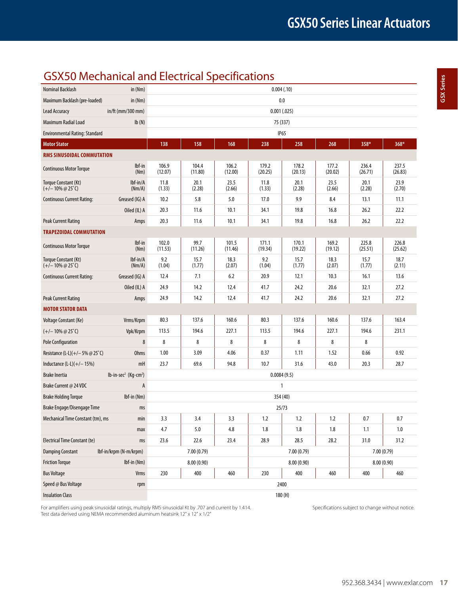## GSX50 Mechanical and Electrical Specifications

| Nominal Backlash                                         | in (Nm)                                         |                  |                  |                  | 0.004(.10)       |                  |                  |                  |                  |
|----------------------------------------------------------|-------------------------------------------------|------------------|------------------|------------------|------------------|------------------|------------------|------------------|------------------|
| Maximum Backlash (pre-loaded)                            | in $(Nm)$                                       |                  |                  |                  |                  | 0.0              |                  |                  |                  |
| Lead Accuracy                                            | in/ft (mm/300 mm)                               |                  |                  |                  |                  | 0.001(.025)      |                  |                  |                  |
| Maximum Radial Load                                      | Ib(N)                                           |                  |                  |                  |                  | 75 (337)         |                  |                  |                  |
| <b>Environmental Rating: Standard</b>                    |                                                 |                  |                  |                  |                  | IP <sub>65</sub> |                  |                  |                  |
| <b>Motor Stator</b>                                      |                                                 | 138              | 158              | 168              | 238              | 258              | 268              | 358*             | 368*             |
| RMS SINUSOIDAL COMMUTATION                               |                                                 |                  |                  |                  |                  |                  |                  |                  |                  |
| <b>Continuous Motor Torque</b>                           | lbf-in<br>(Nm)                                  | 106.9<br>(12.07) | 104.4<br>(11.80) | 106.2<br>(12.00) | 179.2<br>(20.25) | 178.2<br>(20.13) | 177.2<br>(20.02) | 236.4<br>(26.71) | 237.5<br>(26.83) |
| Torque Constant (Kt)<br>$(+/- 10\% \omega 25^{\circ}$ C) | lbf-in/A<br>(Nm/A)                              | 11.8<br>(1.33)   | 20.1<br>(2.28)   | 23.5<br>(2.66)   | 11.8<br>(1.33)   | 20.1<br>(2.28)   | 23.5<br>(2.66)   | 20.1<br>(2.28)   | 23.9<br>(2.70)   |
| <b>Continuous Current Rating:</b>                        | Greased (IG) A                                  | 10.2             | 5.8              | 5.0              | 17.0             | 9.9              | 8.4              | 13.1             | 11.1             |
|                                                          | Oiled (IL) A                                    | 20.3             | 11.6             | 10.1             | 34.1             | 19.8             | 16.8             | 26.2             | 22.2             |
| Peak Current Rating                                      | Amps                                            | 20.3             | 11.6             | 10.1             | 34.1             | 19.8             | 16.8             | 26.2             | 22.2             |
| <b>TRAPEZOIDAL COMMUTATION</b>                           |                                                 |                  |                  |                  |                  |                  |                  |                  |                  |
| <b>Continuous Motor Torque</b>                           | lbf-in<br>(Nm)                                  | 102.0<br>(11.53) | 99.7<br>(11.26)  | 101.5<br>(11.46) | 171.1<br>(19.34) | 170.1<br>(19.22) | 169.2<br>(19.12) | 225.8<br>(25.51) | 226.8<br>(25.62) |
| Torque Constant (Kt)<br>$(+/- 10\% \ @ 25\degree C)$     | lbf-in/A<br>(Nm/A)                              | 9.2<br>(1.04)    | 15.7<br>(1.77)   | 18.3<br>(2.07)   | 9.2<br>(1.04)    | 15.7<br>(1.77)   | 18.3<br>(2.07)   | 15.7<br>(1.77)   | 18.7<br>(2.11)   |
| <b>Continuous Current Rating:</b>                        | Greased (IG) A                                  | 12.4             | 7.1              | 6.2              | 20.9             | 12.1             | 10.3             | 16.1             | 13.6             |
|                                                          | Oiled (IL) A                                    | 24.9             | 14.2             | 12.4             | 41.7             | 24.2             | 20.6             | 32.1             | 27.2             |
| Peak Current Rating                                      | Amps                                            | 24.9             | 14.2             | 12.4             | 41.7             | 24.2             | 20.6             | 32.1             | 27.2             |
| <b>MOTOR STATOR DATA</b>                                 |                                                 |                  |                  |                  |                  |                  |                  |                  |                  |
| Voltage Constant (Ke)                                    | Vrms/Krpm                                       | 80.3             | 137.6            | 160.6            | 80.3             | 137.6            | 160.6            | 137.6            | 163.4            |
| $(+/- 10\% \ @ 25\degree C)$                             | Vpk/Krpm                                        | 113.5            | 194.6            | 227.1            | 113.5            | 194.6            | 227.1            | 194.6            | 231.1            |
| <b>Pole Configuration</b>                                | 8                                               | 8                | 8                | 8                | 8                | 8                | 8                | 8                |                  |
| Resistance (L-L)(+/-5% @ 25°C)                           | <b>Ohms</b>                                     | 1.00             | 3.09             | 4.06             | 0.37             | 1.11             | 1.52             | 0.66             | 0.92             |
| Inductance $(L-L)(+/- 15%)$                              | mH                                              | 23.7             | 69.6             | 94.8             | 10.7             | 31.6             | 43.0             | 20.3             | 28.7             |
| <b>Brake Inertia</b>                                     | $lb$ -in-sec <sup>2</sup> (Kg-cm <sup>2</sup> ) |                  |                  |                  |                  | 0.0084(9.5)      |                  |                  |                  |
| Brake Current @ 24 VDC                                   | A                                               |                  |                  |                  |                  | 1                |                  |                  |                  |
| <b>Brake Holding Torque</b>                              | $Ibf$ -in (Nm)                                  |                  |                  |                  |                  | 354 (40)         |                  |                  |                  |
| Brake Engage/Disengage Time                              | ms                                              |                  |                  |                  |                  | 25/73            |                  |                  |                  |
| Mechanical Time Constant (tm), ms                        | min                                             | 3.3              | 3.4              | 3.3              | 1.2              | 1.2              | 1.2              | 0.7              | 0.7              |
|                                                          | max                                             | 4.7              | 5.0              | 4.8              | 1.8              | 1.8              | 1.8              | 1.1              | 1.0              |
| <b>Electrical Time Constant (te)</b>                     | ms                                              | 23.6             | 22.6             | 23.4             | 28.9             | 28.5             | 28.2             | 31.0             | 31.2             |
| <b>Damping Constant</b>                                  | Ibf-in/krpm (N-m/krpm)                          |                  | 7.00 (0.79)      |                  |                  | 7.00(0.79)       |                  | 7.00(0.79)       |                  |
| <b>Friction Torque</b>                                   | Ibf-in (Nm)                                     |                  | 8.00(0.90)       |                  |                  | 8.00(0.90)       |                  |                  | 8.00(0.90)       |
| <b>Bus Voltage</b>                                       | Vrms                                            | 230              | 400              | 460              | 230              | 400              | 460              | 400              | 460              |
| Speed @ Bus Voltage                                      | rpm                                             |                  |                  |                  |                  | 2400             |                  |                  |                  |
| <b>Insulation Class</b>                                  |                                                 |                  | 180 (H)          |                  |                  |                  |                  |                  |                  |

For amplifiers using peak sinusoidal ratings, multiply RMS sinusoidal Kt by .707 and current by 1.414. Specifications subject to change without notice. Test data derived using NEMA recommended aluminum heatsink 12" x 12" x 1/2"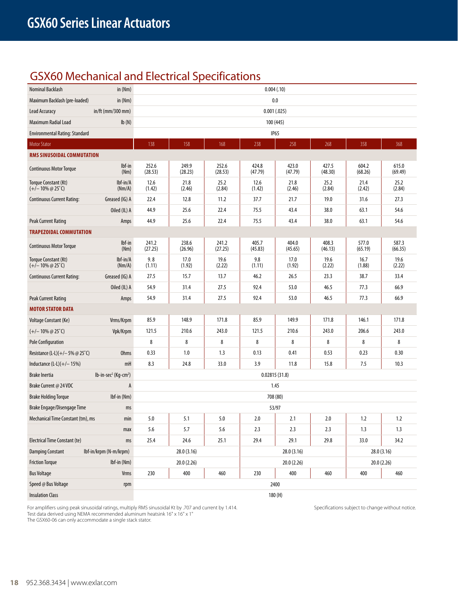## GSX60 Mechanical and Electrical Specifications

| Nominal Backlash                                             | in (Nm)                                      |                  |                  |                  | 0.004(.10)       |                  |                  |                  |                  |  |  |
|--------------------------------------------------------------|----------------------------------------------|------------------|------------------|------------------|------------------|------------------|------------------|------------------|------------------|--|--|
| Maximum Backlash (pre-loaded)                                | in (Nm)                                      |                  |                  |                  | 0.0              |                  |                  |                  |                  |  |  |
| Lead Accuracy                                                | in/ft (mm/300 mm)                            |                  |                  |                  | 0.001(.025)      |                  |                  |                  |                  |  |  |
| Maximum Radial Load                                          | Ib(N)                                        |                  |                  |                  | 100 (445)        |                  |                  |                  |                  |  |  |
| <b>Environmental Rating: Standard</b>                        |                                              |                  |                  |                  | IP <sub>65</sub> |                  |                  |                  |                  |  |  |
| <b>Motor Stator</b>                                          |                                              | 138              | 158              | 168              | 238              | 258              | 268              | 358              | 368              |  |  |
| RMS SINUSOIDAL COMMUTATION                                   |                                              |                  |                  |                  |                  |                  |                  |                  |                  |  |  |
| <b>Continuous Motor Torque</b>                               | lbf-in<br>(Nm)                               | 252.6<br>(28.53) | 249.9<br>(28.23) | 252.6<br>(28.53) | 424.8<br>(47.79) | 423.0<br>(47.79) | 427.5<br>(48.30) | 604.2<br>(68.26) | 615.0<br>(69.49) |  |  |
| Torque Constant (Kt)<br>$(+/- 10\% \text{ @ } 25^{\circ}$ C) | $Ibf-in/A$<br>(Nm/A)                         | 12.6<br>(1.42)   | 21.8<br>(2.46)   | 25.2<br>(2.84)   | 12.6<br>(1.42)   | 21.8<br>(2.46)   | 25.2<br>(2.84)   | 21.4<br>(2.42)   | 25.2<br>(2.84)   |  |  |
| <b>Continuous Current Rating:</b>                            | Greased (IG) A                               | 22.4             | 12.8             | 11.2             | 37.7             | 21.7             | 19.0             | 31.6             | 27.3             |  |  |
|                                                              | Oiled (IL) A                                 | 44.9             | 25.6             | 22.4             | 75.5             | 43.4             | 38.0             | 63.1             | 54.6             |  |  |
| <b>Peak Current Rating</b>                                   | Amps                                         | 44.9             | 25.6             | 22.4             | 75.5             | 43.4             | 38.0             | 63.1             | 54.6             |  |  |
| <b>TRAPEZOIDAL COMMUTATION</b>                               |                                              |                  |                  |                  |                  |                  |                  |                  |                  |  |  |
| <b>Continuous Motor Torque</b>                               | $Ibf-in$<br>(Nm)                             | 241.2<br>(27.25) | 238.6<br>(26.96) | 241.2<br>(27.25) | 405.7<br>(45.83) | 404.0<br>(45.65) | 408.3<br>(46.13) | 577.0<br>(65.19) | 587.3<br>(66.35) |  |  |
| Torque Constant (Kt)<br>$(+/- 10\% \omega 25^{\circ}C)$      | $Ibf-in/A$<br>(Nm/A)                         | 9.8<br>(1.11)    | 17.0<br>(1.92)   | 19.6<br>(2.22)   | 9.8<br>(1.11)    | 17.0<br>(1.92)   | 19.6<br>(2.22)   | 16.7<br>(1.88)   | 19.6<br>(2.22)   |  |  |
| <b>Continuous Current Rating:</b>                            | Greased (IG) A                               | 27.5             | 15.7             | 13.7             | 46.2             | 26.5             | 23.3             | 38.7             | 33.4             |  |  |
|                                                              | Oiled (IL) A                                 | 54.9             | 31.4             | 27.5             | 92.4             | 53.0             | 46.5             | 77.3             | 66.9             |  |  |
| Peak Current Rating                                          | Amps                                         | 54.9             | 31.4             | 27.5             | 92.4             | 53.0             | 46.5             | 77.3             | 66.9             |  |  |
| <b>MOTOR STATOR DATA</b>                                     |                                              |                  |                  |                  |                  |                  |                  |                  |                  |  |  |
| Voltage Constant (Ke)                                        | Vrms/Krpm                                    | 85.9             | 148.9            | 171.8            | 85.9             | 149.9            | 171.8            | 146.1            | 171.8            |  |  |
| $(+/- 10\% \text{ @ } 25^{\circ}$ C)                         | Vpk/Krpm                                     | 121.5            | 210.6            | 243.0            | 121.5            | 210.6            | 243.0            | 206.6            | 243.0            |  |  |
| <b>Pole Configuration</b>                                    |                                              | 8                | 8                | 8                | 8                | 8                | 8                | 8                | 8                |  |  |
| Resistance (L-L)(+/-5% @ 25°C)                               | <b>Ohms</b>                                  | 0.33             | 1.0              | 1.3              | 0.13             | 0.41             | 0.53             | 0.23             | 0.30             |  |  |
| Inductance $(L-L)(+/- 15%)$                                  | mH                                           | 8.3              | 24.8             | 33.0             | 3.9              | 11.8             | 15.8             | 7.5              | 10.3             |  |  |
| <b>Brake Inertia</b>                                         | lb-in-sec <sup>2</sup> (Kg-cm <sup>2</sup> ) |                  |                  |                  | 0.02815(31.8)    |                  |                  |                  |                  |  |  |
| Brake Current @ 24 VDC                                       | A                                            |                  |                  |                  | 1.45             |                  |                  |                  |                  |  |  |
| <b>Brake Holding Torque</b>                                  | Ibf-in (Nm)                                  |                  |                  |                  | 708 (80)         |                  |                  |                  |                  |  |  |
| Brake Engage/Disengage Time                                  | ms                                           |                  |                  |                  | 53/97            |                  |                  |                  |                  |  |  |
| Mechanical Time Constant (tm), ms                            | min                                          | 5.0              | 5.1              | 5.0              | 2.0              | 2.1              | 2.0              | 1.2              | 1.2              |  |  |
|                                                              | max                                          | 5.6              | 5.7              | 5.6              | 2.3              | 2.3              | 2.3              | 1.3              | 1.3              |  |  |
| <b>Electrical Time Constant (te)</b>                         | ms                                           | 25.4             | 24.6             | 25.1             | 29.4             | 29.1             | 29.8             | 33.0             | 34.2             |  |  |
| <b>Damping Constant</b>                                      | Ibf-in/krpm (N-m/krpm)                       |                  | 28.0 (3.16)      |                  |                  | 28.0 (3.16)      |                  |                  | 28.0 (3.16)      |  |  |
| <b>Friction Torque</b>                                       | $Ibf-in$ (Nm)                                |                  | 20.0 (2.26)      |                  |                  | 20.0 (2.26)      |                  |                  | 20.0 (2.26)      |  |  |
| <b>Bus Voltage</b>                                           | Vrms                                         | 230              | 400              | 460              | 230              | 400              | 460              | 400              | 460              |  |  |
| Speed @ Bus Voltage                                          | rpm                                          |                  | 2400             |                  |                  |                  |                  |                  |                  |  |  |
| <b>Insulation Class</b>                                      |                                              |                  |                  |                  | 180(H)           |                  |                  |                  |                  |  |  |

For amplifiers using peak sinusoidal ratings, multiply RMS sinusoidal Kt by .707 and current by 1.414. Specifications subject to change without notice. Test data derived using NEMA recommended aluminum heatsink 16" x 16" x 1"

The GSX60-06 can only accommodate a single stack stator.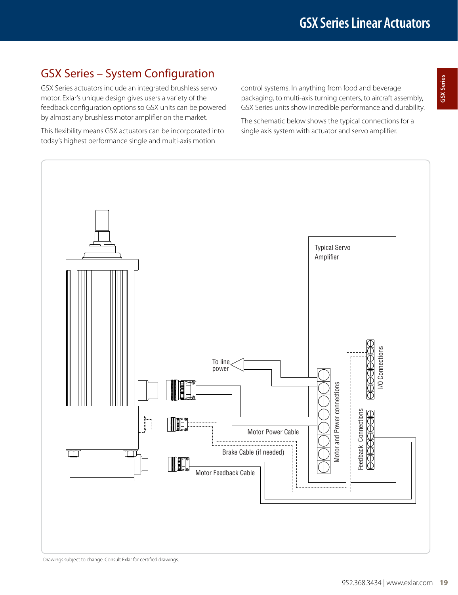## GSX Series – System Configuration

GSX Series actuators include an integrated brushless servo motor. Exlar's unique design gives users a variety of the feedback configuration options so GSX units can be powered by almost any brushless motor amplifier on the market.

This flexibility means GSX actuators can be incorporated into today's highest performance single and multi-axis motion

control systems. In anything from food and beverage packaging, to multi-axis turning centers, to aircraft assembly, GSX Series units show incredible performance and durability.

The schematic below shows the typical connections for a single axis system with actuator and servo amplifier.

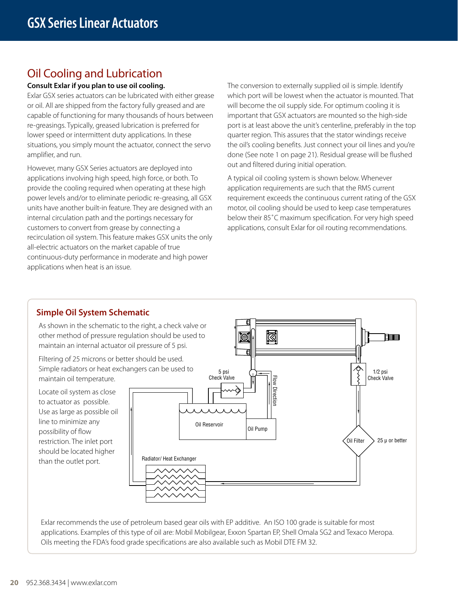## Oil Cooling and Lubrication

### **Consult Exlar if you plan to use oil cooling.**

Exlar GSX series actuators can be lubricated with either grease or oil. All are shipped from the factory fully greased and are capable of functioning for many thousands of hours between re-greasings. Typically, greased lubrication is preferred for lower speed or intermittent duty applications. In these situations, you simply mount the actuator, connect the servo amplifier, and run.

However, many GSX Series actuators are deployed into applications involving high speed, high force, or both. To provide the cooling required when operating at these high power levels and/or to eliminate periodic re-greasing, all GSX units have another built-in feature. They are designed with an internal circulation path and the portings necessary for customers to convert from grease by connecting a recirculation oil system. This feature makes GSX units the only all-electric actuators on the market capable of true continuous-duty performance in moderate and high power applications when heat is an issue.

The conversion to externally supplied oil is simple. Identify which port will be lowest when the actuator is mounted. That will become the oil supply side. For optimum cooling it is important that GSX actuators are mounted so the high-side port is at least above the unit's centerline, preferably in the top quarter region. This assures that the stator windings receive the oil's cooling benefits. Just connect your oil lines and you're done (See note 1 on page 21). Residual grease will be flushed out and filtered during initial operation.

A typical oil cooling system is shown below. Whenever application requirements are such that the RMS current requirement exceeds the continuous current rating of the GSX motor, oil cooling should be used to keep case temperatures below their 85˚C maximum specification. For very high speed applications, consult Exlar for oil routing recommendations.



As shown in the schematic to the right, a check valve or other method of pressure regulation should be used to maintain an internal actuator oil pressure of 5 psi.

Filtering of 25 microns or better should be used. Simple radiators or heat exchangers can be used to maintain oil temperature.

Locate oil system as close to actuator as possible. Use as large as possible oil line to minimize any possibility of flow restriction. The inlet port should be located higher than the outlet port.



Exlar recommends the use of petroleum based gear oils with EP additive. An ISO 100 grade is suitable for most applications. Examples of this type of oil are: Mobil Mobilgear, Exxon Spartan EP, Shell Omala SG2 and Texaco Meropa. Oils meeting the FDA's food grade specifications are also available such as Mobil DTE FM 32.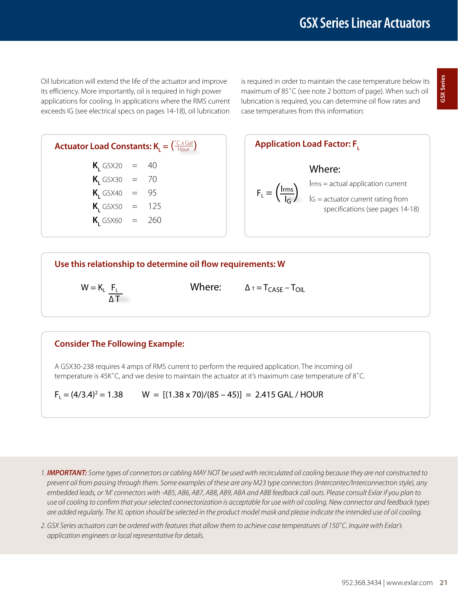Oil lubrication will extend the life of the actuator and improve its efficiency. More importantly, oil is required in high power applications for cooling. In applications where the RMS current exceeds IG (see electrical specs on pages 14-18), oil lubrication

is required in order to maintain the case temperature below its maximum of 85˚C (see note 2 bottom of page). When such oil lubrication is required, you can determine oil flow rates and case temperatures from this information:

#### **Actuator Load Constants:**  $K_{\text{L}} = \left( \frac{{}^{{}^{{}_{\alpha}}}{\text{Cx}} \text{Gal}}{} \right)$ Hour

| $K_{1}$ GSX20 | $\equiv$  | 40  |
|---------------|-----------|-----|
| $K_{1}$ GSX30 | $\equiv$  | 70  |
| $K_{1}$ GSX40 | $\, = \,$ | 95  |
| $K$ , GSX50   | $=$       | 125 |
| $K$ , GSX60   | $=$       | 260 |

**Application Load Factor: F<sub>1</sub>** Where: Irms = actual application current  $F_L = \left(\frac{I_{rms}}{I_G}\right)$   $I_{GS} =$  actual application current<br> $I_{G} =$  actuator current rating from specifications (see pages 14-18)

### **Use this relationship to determine oil flow requirements: W**

 $W = K_{L} F_{L}$ 

Where:  $\Delta \tau = T_{CASE} - T_{OIL}$ 

### **Consider The Following Example:**

A GSX30-238 requires 4 amps of RMS current to perform the required application. The incoming oil temperature is 45K˚C, and we desire to maintain the actuator at it's maximum case temperature of 8˚C.

 $F_L = (4/3.4)^2 = 1.38$  W =  $[(1.38 \times 70)/(85 - 45)] = 2.415$  GAL / HOUR

*1. IMPORTANT: Some types of connectors or cabling MAY NOT be used with recirculated oil cooling because they are not constructed to prevent oil from passing through them. Some examples of these are any M23 type connectors (Intercontec/Interconnectron style), any embedded leads, or 'M' connectors with -AB5, AB6, AB7, AB8, AB9, ABA and ABB feedback call outs. Please consult Exlar if you plan to use oil cooling to confirm that your selected connectorization is acceptable for use with oil cooling. New connector and feedback types are added regularly. The XL option should be selected in the product model mask and please indicate the intended use of oil cooling.*

*2. GSX Series actuators can be ordered with features that allow them to achieve case temperatures of 150˚C. Inquire with Exlar's application engineers or local representative for details.*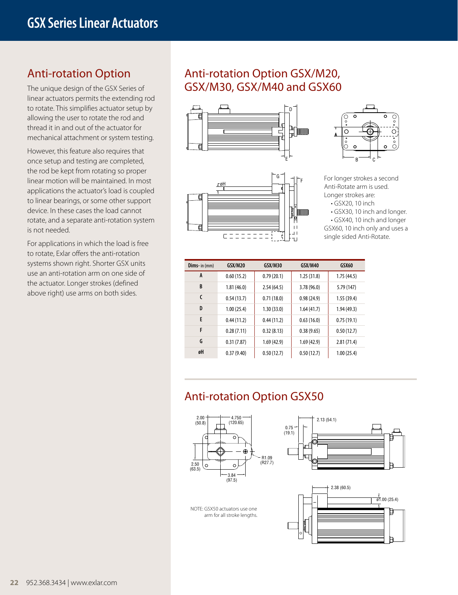### Anti-rotation Option

The unique design of the GSX Series of linear actuators permits the extending rod to rotate. This simplifies actuator setup by allowing the user to rotate the rod and thread it in and out of the actuator for mechanical attachment or system testing.

However, this feature also requires that once setup and testing are completed, the rod be kept from rotating so proper linear motion will be maintained. In most applications the actuator's load is coupled to linear bearings, or some other support device. In these cases the load cannot rotate, and a separate anti-rotation system is not needed.

For applications in which the load is free to rotate, Exlar offers the anti-rotation systems shown right. Shorter GSX units use an anti-rotation arm on one side of the actuator. Longer strokes (defined above right) use arms on both sides.

### Anti-rotation Option GSX/M20, GSX/M30, GSX/M40 and GSX60







For longer strokes a second Anti-Rotate arm is used. Longer strokes are:

• GSX20, 10 inch

• GSX30, 10 inch and longer.

• GSX40, 10 inch and longer GSX60, 10 inch only and uses a single sided Anti-Rotate.

| <b>Dims-</b> in (mm) | GSX/M20    | GSX/M30    | GSX/M40    | GSX60      |
|----------------------|------------|------------|------------|------------|
| A                    | 0.60(15.2) | 0.79(20.1) | 1.25(31.8) | 1.75(44.5) |
| B                    | 1.81(46.0) | 2.54(64.5) | 3.78(96.0) | 5.79 (147) |
| C                    | 0.54(13.7) | 0.71(18.0) | 0.98(24.9) | 1.55(39.4) |
| D                    | 1.00(25.4) | 1.30(33.0) | 1.64(41.7) | 1.94(49.3) |
| E                    | 0.44(11.2) | 0.44(11.2) | 0.63(16.0) | 0.75(19.1) |
| F                    | 0.28(7.11) | 0.32(8.13) | 0.38(9.65) | 0.50(12.7) |
| G                    | 0.31(7.87) | 1.69(42.9) | 1.69(42.9) | 2.81(71.4) |
| øH                   | 0.37(9.40) | 0.50(12.7) | 0.50(12.7) | 1.00(25.4) |

## Anti-rotation Option GSX50







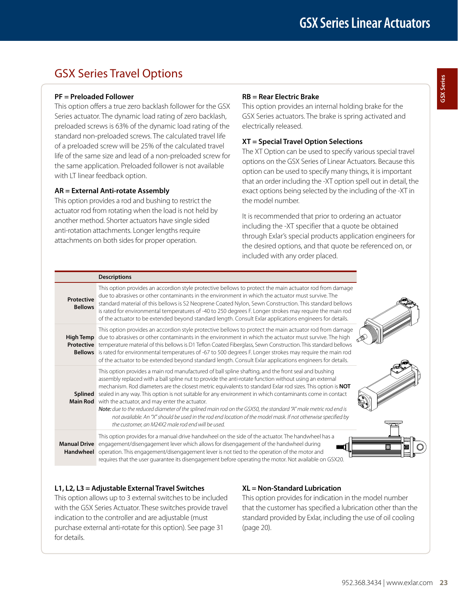## GSX Series Travel Options

### **PF = Preloaded Follower**

This option offers a true zero backlash follower for the GSX Series actuator. The dynamic load rating of zero backlash, preloaded screws is 63% of the dynamic load rating of the standard non-preloaded screws. The calculated travel life of a preloaded screw will be 25% of the calculated travel life of the same size and lead of a non-preloaded screw for the same application. Preloaded follower is not available with LT linear feedback option.

### **AR = External Anti-rotate Assembly**

This option provides a rod and bushing to restrict the actuator rod from rotating when the load is not held by another method. Shorter actuators have single sided anti-rotation attachments. Longer lengths require attachments on both sides for proper operation.

### **RB = Rear Electric Brake**

This option provides an internal holding brake for the GSX Series actuators. The brake is spring activated and electrically released.

### **XT = Special Travel Option Selections**

The XT Option can be used to specify various special travel options on the GSX Series of Linear Actuators. Because this option can be used to specify many things, it is important that an order including the -XT option spell out in detail, the exact options being selected by the including of the -XT in the model number.

It is recommended that prior to ordering an actuator including the -XT specifier that a quote be obtained through Exlar's special products application engineers for the desired options, and that quote be referenced on, or included with any order placed.

|                              | <b>Descriptions</b>                                                                                                                                                                                                                                                                                                                                                                                                                                                                                                                                                                                                                                                                                                                                                                  |
|------------------------------|--------------------------------------------------------------------------------------------------------------------------------------------------------------------------------------------------------------------------------------------------------------------------------------------------------------------------------------------------------------------------------------------------------------------------------------------------------------------------------------------------------------------------------------------------------------------------------------------------------------------------------------------------------------------------------------------------------------------------------------------------------------------------------------|
| Protective<br><b>Bellows</b> | This option provides an accordion style protective bellows to protect the main actuator rod from damage<br>due to abrasives or other contaminants in the environment in which the actuator must survive. The<br>standard material of this bellows is S2 Neoprene Coated Nylon, Sewn Construction. This standard bellows<br>is rated for environmental temperatures of -40 to 250 degrees F. Longer strokes may require the main rod<br>of the actuator to be extended beyond standard length. Consult Exlar applications engineers for details.                                                                                                                                                                                                                                      |
| <b>High Temp</b>             | This option provides an accordion style protective bellows to protect the main actuator rod from damage<br>due to abrasives or other contaminants in the environment in which the actuator must survive. The high<br><b>Protective</b> temperature material of this bellows is D1 Teflon Coated Fiberglass, Sewn Construction. This standard bellows<br>Bellows is rated for environmental temperatures of -67 to 500 degrees F. Longer strokes may require the main rod<br>of the actuator to be extended beyond standard length. Consult Exlar applications engineers for details.                                                                                                                                                                                                 |
| Splined<br><b>Main Rod</b>   | This option provides a main rod manufactured of ball spline shafting, and the front seal and bushing<br>assembly replaced with a ball spline nut to provide the anti-rotate function without using an external<br>mechanism. Rod diameters are the closest metric equivalents to standard Exlar rod sizes. This option is NOT<br>sealed in any way. This option is not suitable for any environment in which contaminants come in contact<br>with the actuator, and may enter the actuator.<br>Note: due to the reduced diameter of the splined main rod on the GSX50, the standard "A" male metric rod end is<br>not available. An "X" should be used in the rod end location of the model mask. If not otherwise specified by<br>the customer, an M24X2 male rod end will be used. |
| <b>Manual Drive</b>          | This option provides for a manual drive handwheel on the side of the actuator. The handwheel has a<br>engagement/disengagement lever which allows for disengagement of the handwheel during<br><b>ANNIER</b><br>Handwheel operation. This engagement/disengagement lever is not tied to the operation of the motor and<br>requires that the user guarantee its disengagement before operating the motor. Not available on GSX20.                                                                                                                                                                                                                                                                                                                                                     |

### **L1, L2, L3 = Adjustable External Travel Switches**

This option allows up to 3 external switches to be included with the GSX Series Actuator. These switches provide travel indication to the controller and are adjustable (must purchase external anti-rotate for this option). See page 31 for details.

### **XL = Non-Standard Lubrication**

This option provides for indication in the model number that the customer has specified a lubrication other than the standard provided by Exlar, including the use of oil cooling (page 20).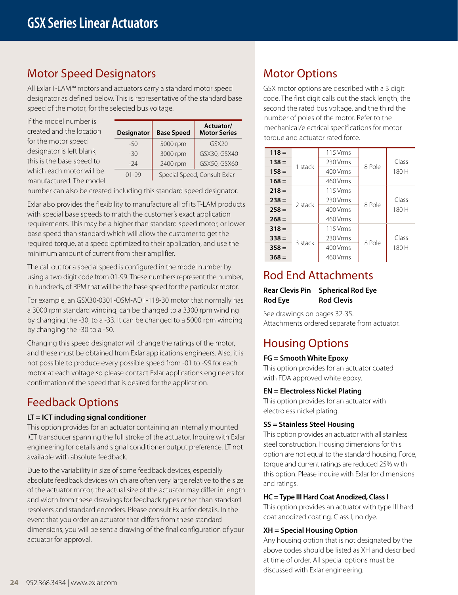### Motor Speed Designators

All Exlar T-LAM™ motors and actuators carry a standard motor speed designator as defined below. This is representative of the standard base speed of the motor, for the selected bus voltage.

If the model number is created and the location for the motor speed designator is left blank, this is the base speed to which each motor will be manufactured. The model

| <b>Designator</b> | <b>Base Speed</b>            | Actuator/<br><b>Motor Series</b> |  |  |  |  |
|-------------------|------------------------------|----------------------------------|--|--|--|--|
| $-50$             | 5000 rpm                     | GSX20                            |  |  |  |  |
| $-30$             | 3000 rpm                     | GSX30, GSX40                     |  |  |  |  |
| $-24$             | 2400 rpm                     | GSX50, GSX60                     |  |  |  |  |
| $01 - 99$         | Special Speed, Consult Exlar |                                  |  |  |  |  |

number can also be created including this standard speed designator.

Exlar also provides the flexibility to manufacture all of its T-LAM products with special base speeds to match the customer's exact application requirements. This may be a higher than standard speed motor, or lower base speed than standard which will allow the customer to get the required torque, at a speed optimized to their application, and use the minimum amount of current from their amplifier.

The call out for a special speed is configured in the model number by using a two digit code from 01-99. These numbers represent the number, in hundreds, of RPM that will be the base speed for the particular motor.

For example, an GSX30-0301-OSM-AD1-118-30 motor that normally has a 3000 rpm standard winding, can be changed to a 3300 rpm winding by changing the -30, to a -33. It can be changed to a 5000 rpm winding by changing the -30 to a -50.

Changing this speed designator will change the ratings of the motor, and these must be obtained from Exlar applications engineers. Also, it is not possible to produce every possible speed from -01 to -99 for each motor at each voltage so please contact Exlar applications engineers for confirmation of the speed that is desired for the application.

## Feedback Options

### **LT = ICT including signal conditioner**

This option provides for an actuator containing an internally mounted ICT transducer spanning the full stroke of the actuator. Inquire with Exlar engineering for details and signal conditioner output preference. LT not available with absolute feedback.

Due to the variability in size of some feedback devices, especially absolute feedback devices which are often very large relative to the size of the actuator motor, the actual size of the actuator may differ in length and width from these drawings for feedback types other than standard resolvers and standard encoders. Please consult Exlar for details. In the event that you order an actuator that differs from these standard dimensions, you will be sent a drawing of the final configuration of your actuator for approval.

## Motor Options

GSX motor options are described with a 3 digit code. The first digit calls out the stack length, the second the rated bus voltage, and the third the number of poles of the motor. Refer to the mechanical/electrical specifications for motor torque and actuator rated force.

| $118 =$ |         | 115 Vrms   |        |                |
|---------|---------|------------|--------|----------------|
| $138 =$ |         | 230 Vrms   |        | Class          |
| $158 =$ | 1 stack | 400 Vrms   | 8 Pole | 180 H          |
| $168 =$ |         | 460 Vrms   |        |                |
| $218 =$ | 2 stack | 115 Vrms   |        |                |
| $238 =$ |         | 230 Vrms   | 8 Pole | Class<br>180 H |
| $258 =$ |         | 400 Vrms   |        |                |
| $268 =$ |         | 460 Vrms   |        |                |
| $318 =$ |         | $115$ Vrms |        |                |
| $338 =$ | 3 stack | 230 Vrms   | 8 Pole | Class          |
| $358 =$ |         | 400 Vrms   |        | 180 H          |
| $368 =$ |         | 460 Vrms   |        |                |

### Rod End Attachments

### **Rear Clevis Pin Spherical Rod Eye Rod Eye Rod Clevis**

See drawings on pages 32-35. Attachments ordered separate from actuator.

## Housing Options

### **FG = Smooth White Epoxy**

This option provides for an actuator coated with FDA approved white epoxy.

### **EN = Electroless Nickel Plating**

This option provides for an actuator with electroless nickel plating.

### **SS = Stainless Steel Housing**

This option provides an actuator with all stainless steel construction. Housing dimensions for this option are not equal to the standard housing. Force, torque and current ratings are reduced 25% with this option. Please inquire with Exlar for dimensions and ratings.

### **HC = Type III Hard Coat Anodized, Class I**

This option provides an actuator with type III hard coat anodized coating. Class I, no dye.

### **XH = Special Housing Option**

Any housing option that is not designated by the above codes should be listed as XH and described at time of order. All special options must be discussed with Exlar engineering.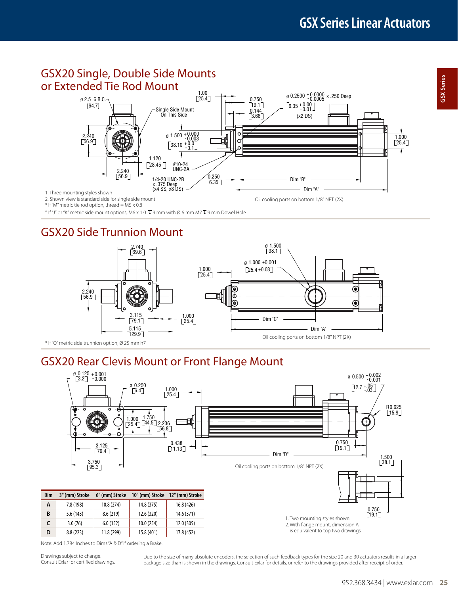### GSX20 Single, Double Side Mounts or Extended Tie Rod Mount



\* If "M" metric tie rod option, thread = M5 x 0.8

 $*$  If "J" or "K" metric side mount options, M6 x 1.0  $\overline{\Psi}$  9 mm with Ø 6 mm M7  $\overline{\Psi}$  9 mm Dowel Hole

## GSX20 Side Trunnion Mount



## GSX20 Rear Clevis Mount or Front Flange Mount



Note: Add 1.784 Inches to Dims "A & D" if ordering a Brake.

Drawings subject to change. Consult Exlar for certified drawings.

Due to the size of many absolute encoders, the selection of such feedback types for the size 20 and 30 actuators results in a larger package size than is shown in the drawings. Consult Exlar for details, or refer to the drawings provided after receipt of order.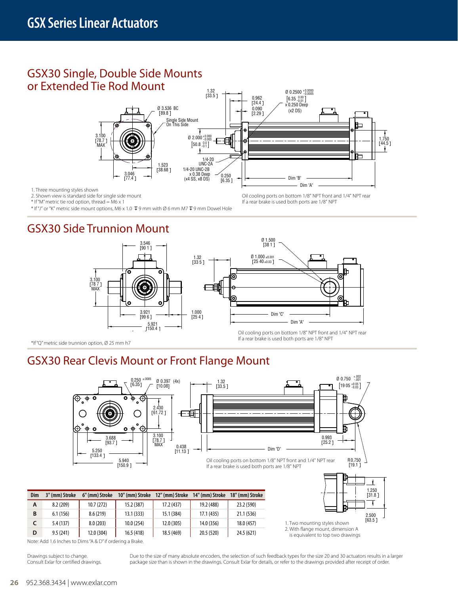### GSX30 Single, Double Side Mounts or Extended Tie Rod Mount



Oil cooling ports on bottom 1/8" NPT front and 1/4" NPT rear

If a rear brake is used both ports are 1/8" NPT

1. Three mounting styles shown

2. Shown view is standard side for single side mount

\* If "M" metric tie rod option, thread = M6 x 1

 $*$  If "J" or "K" metric side mount options, M6 x 1.0  $\overline{V}$  9 mm with Ø 6 mm M7  $\overline{V}$  9 mm Dowel Hole

## GSX30 Side Trunnion Mount



\*If "Q" metric side trunnion option, Ø 25 mm h7

## GSX30 Rear Clevis Mount or Front Flange Mount

**C** 5.4 (137) 8.0 (203) 10.0 (254) 12.0 (305) 14.0 (356) 18.0 (457) **D** 9.5 (241) 12.0 (304) 16.5 (418) 18.5 (469) 20.5 (520) 24.5 (621)



Note: Add 1.6 Inches to Dims "A & D" if ordering a Brake.

Drawings subject to change. Consult Exlar for certified drawings. Due to the size of many absolute encoders, the selection of such feedback types for the size 20 and 30 actuators results in a larger package size than is shown in the drawings. Consult Exlar for details, or refer to the drawings provided after receipt of order.

1. Two mounting styles shown 2. With flange mount, dimension A is equivalent to top two drawings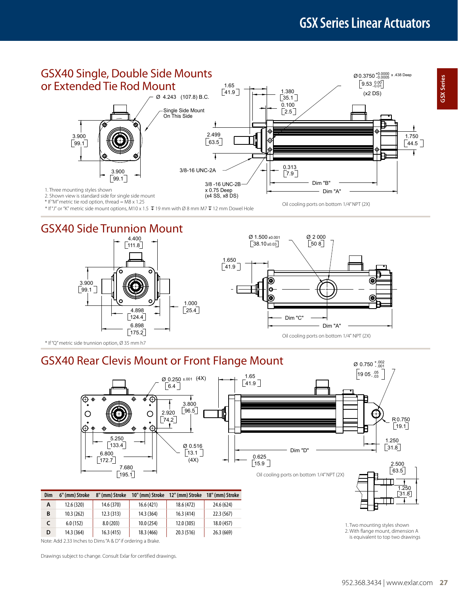**GSX Series**

GSX Series



\* If "J" or "K" metric side mount options, M10 x 1.5  $\bar{\psi}$  19 mm with Ø 8 mm M7  $\bar{\psi}$  12 mm Dowel Hole

### GSX40 Side Trunnion Mount





\* If "Q" metric side trunnion option, Ø 35 mm h7

## GSX40 Rear Clevis Mount or Front Flange Mount



| Dim | 6" (mm) Stroke | 8" (mm) Stroke | 10" (mm) Stroke | 12" (mm) Stroke | 18" (mm) Stroke |
|-----|----------------|----------------|-----------------|-----------------|-----------------|
| A   | 12.6 (320)     | 14.6 (370)     | 16.6(421)       | 18.6 (472)      | 24.6 (624)      |
| в   | 10.3(262)      | 12.3(313)      | 14.3 (364)      | 16.3(414)       | 22.3(567)       |
|     | 6.0(152)       | 8.0(203)       | 10.0(254)       | 12.0 (305)      | 18.0 (457)      |
| D   | 14.3 (364)     | 16.3(415)      | 18.3 (466)      | 20.3 (516)      | 26.3(669)       |

Note: Add 2.33 Inches to Dims "A & D" if ordering a Brake.

Drawings subject to change. Consult Exlar for certified drawings.

1. Two mounting styles shown 2. With flange mount, dimension A is equivalent to top two drawings

 $\sqrt{31.8}$ 1.25

 $\varnothing$  0.750  $^{+.002}_{-.001}$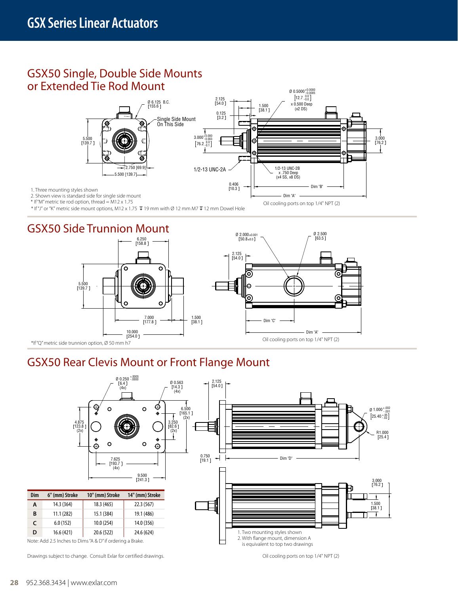### GSX50 Single, Double Side Mounts or Extended Tie Rod Mount



\* If "M" metric tie rod option, thread = M12 x 1.75

\* If "J" or "K" metric side mount options, M12 x 1.75  $\bar{\psi}$  19 mm with Ø 12 mm M7  $\bar{\psi}$  12 mm Dowel Hole

## GSX50 Side Trunnion Mount



## GSX50 Rear Clevis Mount or Front Flange Mount



Drawings subject to change. Consult Exlar for certified drawings.

Oil cooling ports on top 1/4" NPT (2)

Oil cooling ports on top 1/4" NPT (2)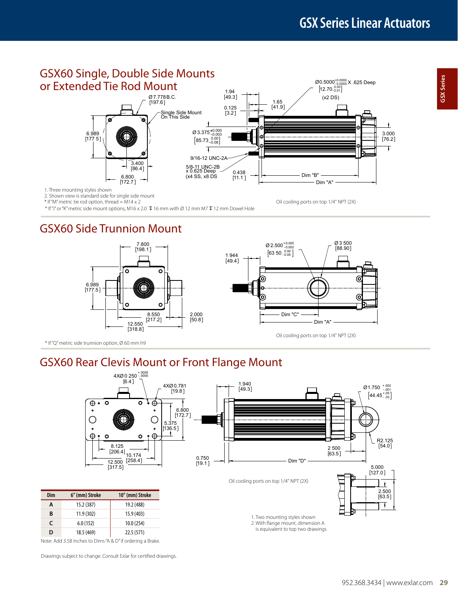Oil cooling ports on top 1/4" NPT (2X)

⊚

 $\circledcirc$ 



2. Shown view is standard side for single side mount

\* If "M" metric tie rod option, thread = M14 x 2

 $*$  If "J" or "K" metric side mount options, M16 x 2.0  $\bar{V}$  16 mm with Ø 12 mm M7  $\bar{V}$  12 mm Dowel Hole

### GSX60 Side Trunnion Mount



\* If "Q" metric side trunnion option, Ø 60 mm h9

## GSX60 Rear Clevis Mount or Front Flange Mount



Note: Add 3.58 Inches to Dims "A & D" if ordering a Brake.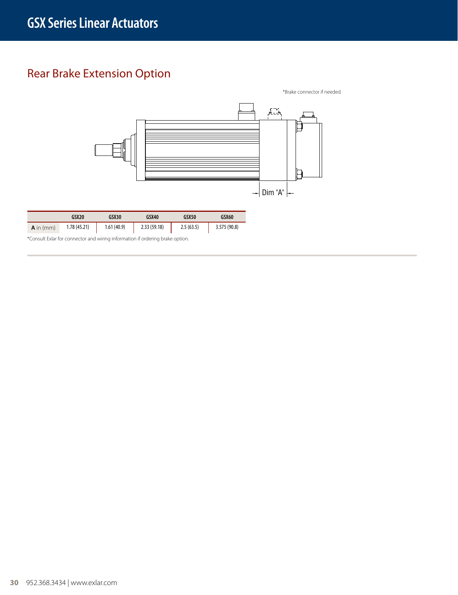## Rear Brake Extension Option

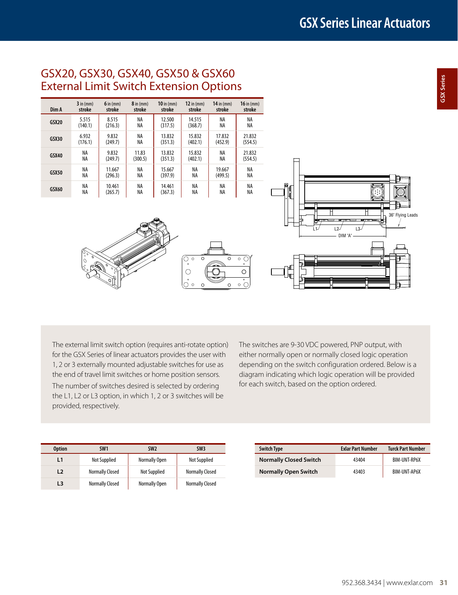### GSX20, GSX30, GSX40, GSX50 & GSX60 External Limit Switch Extension Options

| Dim A        | $3$ in $(mm)$ | $6$ in (mm) | $8$ in $(mm)$ | $10$ in $(mm)$ | $12$ in $(mm)$ | $14$ in $(mm)$ | $16$ in (mm) |
|--------------|---------------|-------------|---------------|----------------|----------------|----------------|--------------|
|              | stroke        | stroke      | stroke        | stroke         | stroke         | stroke         | stroke       |
| <b>GSX20</b> | 5.515         | 8.515       | NA            | 12.500         | 14.515         | NA             | NA           |
|              | (140.1)       | (216.3)     | NA            | (317.5)        | (368.7)        | NA             | NA           |
| <b>GSX30</b> | 6.932         | 9.832       | NA            | 13.832         | 15.832         | 17.832         | 21.832       |
|              | (176.1)       | (249.7)     | NA            | (351.3)        | (402.1)        | (452.9)        | (554.5)      |
| <b>GSX40</b> | NA            | 9.832       | 11.83         | 13.832         | 15.832         | NA             | 21.832       |
|              | NA            | (249.7)     | (300.5)       | (351.3)        | (402.1)        | NA             | (554.5)      |
| <b>GSX50</b> | NA            | 11.667      | NA            | 15.667         | NA             | 19.667         | NA           |
|              | NA            | (296.3)     | NA            | (397.9)        | ΝA             | (499.5)        | NA           |
| GSX60        | NA            | 10.461      | NA            | 14.461         | ΝA             | NA             | NA           |
|              | NA            | (265.7)     | NA            | (367.3)        | NA             | NA             | NA           |

 $\overline{\bigcirc}$ .

 $\circ$ 

०

 $\overline{\circ}$  $\circ$   $\circ$  $\overline{\circ}$  $\circ$   $\circ$ 



The external limit switch option (requires anti-rotate option) for the GSX Series of linear actuators provides the user with 1, 2 or 3 externally mounted adjustable switches for use as the end of travel limit switches or home position sensors.

The number of switches desired is selected by ordering the L1, L2 or L3 option, in which 1, 2 or 3 switches will be provided, respectively.

The switches are 9-30 VDC powered, PNP output, with either normally open or normally closed logic operation depending on the switch configuration ordered. Below is a diagram indicating which logic operation will be provided for each switch, based on the option ordered.

| <b>Option</b> | SW <sub>1</sub>        | SW <sub>2</sub>     | SW <sub>3</sub>        | <b>Switch Type</b> |                               | <b>Exlar Part Number</b> | <b>Turck Part Number</b> |
|---------------|------------------------|---------------------|------------------------|--------------------|-------------------------------|--------------------------|--------------------------|
|               | Not Supplied           | Normally Open       | Not Supplied           |                    | <b>Normally Closed Switch</b> | 43404                    | BIM-UNT-RP6X             |
| L2            | <b>Normally Closed</b> | <b>Not Supplied</b> | <b>Normally Closed</b> |                    | <b>Normally Open Switch</b>   | 43403                    | BIM-UNT-AP6X             |
| L3            | <b>Normally Closed</b> | Normally Open       | <b>Normally Closed</b> |                    |                               |                          |                          |

| <b>Switch Type</b>            | <b>Exlar Part Number</b> | <b>Turck Part Number</b> |
|-------------------------------|--------------------------|--------------------------|
| <b>Normally Closed Switch</b> | 43404                    | <b>BIM-UNT-RP6X</b>      |
| <b>Normally Open Switch</b>   | 43403                    | <b>BIM-UNT-AP6X</b>      |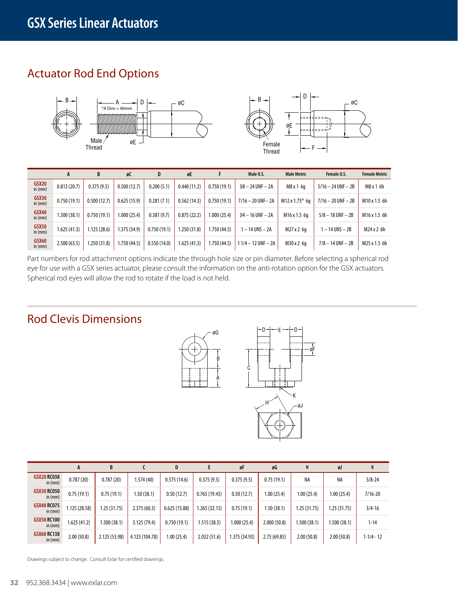## Actuator Rod End Options





|                              | A            | B           | øС           | D           | øE           |              | Male U.S.              | <b>Male Metric</b> | Female U.S.            | <b>Female Metric</b> |
|------------------------------|--------------|-------------|--------------|-------------|--------------|--------------|------------------------|--------------------|------------------------|----------------------|
| GSX <sub>20</sub><br>in (mm) | 0.813(20.7)  | 0.375(9.5)  | 0.500(12.7)  | 0.200(5.1)  | 0.440(11.2)  | 0.750(19.1)  | $3/8 - 24$ UNF $- 2A$  | M8 x 1 6q          | $5/16 - 24$ UNF $- 2B$ | M8x16h               |
| GSX30<br>in (mm)             | 0.750(19.1)  | 0.500(12.7) | 0.625(15.9)  | 0.281(7.1)  | 0.562(14.3)  | 0.750(19.1)  | $7/16 - 20$ UNF-2A     | M12 x 1.75* 6a     | $7/16 - 20$ UNF $- 2B$ | M10 x 1.5 6h         |
| <b>GSX40</b><br>in (mm)      | 1.500 (38.1) | 0.750(19.1) | 1.000 (25.4) | 0.381(9.7)  | 0.875(22.2)  | 1.000 (25.4) | $3/4 - 16$ UNF $- 2A$  | M16 x 1.5 6a       | $5/8 - 18$ UNF $-2B$   | M16 x 1.5 6h         |
| GSX50<br>in (mm)             | 1.625 (41.3) | .125(28.6)  | 1.375 (34.9) | 0.750(19.1) | .250(31.8)   | 1.750 (44.5) | $-14$ UNS $-2A$        | M27 x 2 6g         | – 14 UNS – 2B          | M24x26h              |
| <b>GSX60</b><br>in $(mm)$    | 2.500(63.5)  | .250(31.8)  | 1.750 (44.5) | 0.550(14.0) | 1.625 (41.3) | 1.750 (44.5) | $11/4 - 12$ UNF $- 2A$ | M30 x 2 6q         | $7/8 - 14$ UNF $- 2B$  | M25 x 1.5 6h         |

Part numbers for rod attachment options indicate the through hole size or pin diameter. Before selecting a spherical rod eye for use with a GSX series actuator, please consult the information on the anti-rotation option for the GSX actuators. Spherical rod eyes will allow the rod to rotate if the load is not held.

### Rod Clevis Dimensions





|                                 | A             | B             |                | D            |              | øF            | øG          | H            | øJ           | n              |
|---------------------------------|---------------|---------------|----------------|--------------|--------------|---------------|-------------|--------------|--------------|----------------|
| <b>GSX20 RC038</b><br>in $(mm)$ | 0.787(20)     | 0.787(20)     | 1.574 (40)     | 0.575(14.6)  | 0.375(9.5)   | 0.375(9.5)    | 0.75(19.1)  | NA           | NA           | $3/8 - 24$     |
| <b>GSX30 RC050</b><br>in $(mm)$ | 0.75(19.1)    | 0.75(19.1)    | 1.50 (38.1)    | 0.50(12.7)   | 0.765(19.43) | 0.50(12.7)    | 1.00 (25.4) | 1.00 (25.4)  | 1.00(25.4)   | $7/16 - 20$    |
| <b>GSX40 RC075</b><br>in $(mm)$ | 1.125 (28.58) | 1.25 (31.75)  | 2.375(60.3)    | 0.625(15.88) | .265(32.13)  | 0.75(19.1)    | 1.50 (38.1) | 1.25(31.75)  | 1.25 (31.75) | $3/4 - 16$     |
| <b>GSX50 RC100</b><br>in $(mm)$ | 1.625 (41.2)  | .500 (38.1)   | 3.125(79.4)    | 0.750(19.1)  | 1.515 (38.5) | 1.000 (25.4)  | 2.000(50.8) | 1.500 (38.1) | 1.500(38.1)  | $1 - 14$       |
| <b>GSX60 RC138</b><br>in $(mm)$ | 2.00(50.8)    | 2.125 (53.98) | 4.125 (104.78) | 1.00 (25.4)  | 2.032 (51.6) | 1.375 (34.93) | 2.75(69.85) | 2.00(50.8)   | 2.00(50.8)   | $1 - 1/4 - 12$ |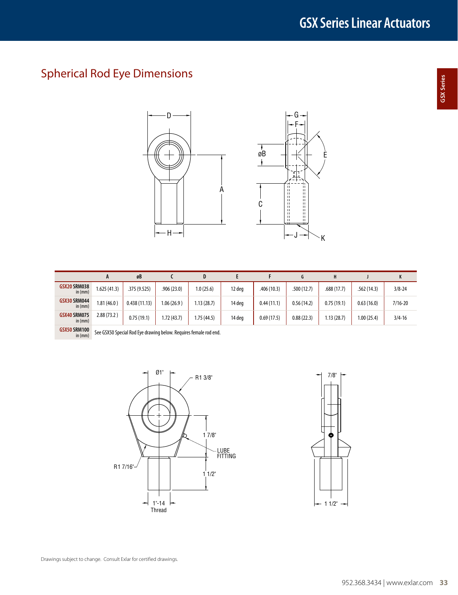## Spherical Rod Eye Dimensions





|                                  |             | øB           |             | D         |        |             |             |             |             |             |
|----------------------------------|-------------|--------------|-------------|-----------|--------|-------------|-------------|-------------|-------------|-------------|
| <b>GSX20 SRM038</b><br>in $(mm)$ | 1.625(41.3) | .375(9.525)  | .906 (23.0) | 1.0(25.6) | 12 deg | .406 (10.3) | .500 (12.7) | .688 (17.7) | .562(14.3)  | $3/8 - 24$  |
| <b>GSX30 SRM044</b><br>in $(mm)$ | 1.81(46.0)  | 0.438(11.13) | .06(26.9)   | .13(28.7) | 14 deg | 0.44(11.1)  | 0.56(14.2)  | 0.75(19.1)  | 0.63(16.0)  | $7/16 - 20$ |
| <b>GSX40 SRM075</b><br>in $(mm)$ | 2.88(73.2)  | 0.75(19.1)   | .72(43.7)   | .75(44.5) | 14 deg | 0.69(17.5)  | 0.88(22.3)  | 1.13 (28.7) | 1.00 (25.4) | $3/4 - 16$  |

**GSX50 SRM100**<br>in (mm) See GSX50 Special Rod Eye drawing below. Requires female rod end.



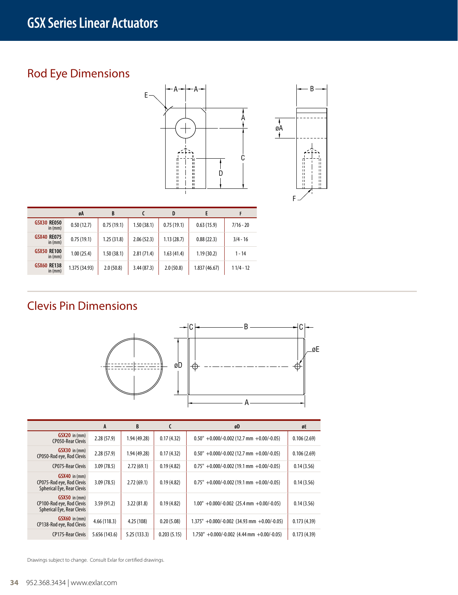## Rod Eye Dimensions





|                                 | øA            | B          |            | D          |              |             |
|---------------------------------|---------------|------------|------------|------------|--------------|-------------|
| <b>GSX30 RE050</b><br>in $(mm)$ | 0.50(12.7)    | 0.75(19.1) | 1.50(38.1) | 0.75(19.1) | 0.63(15.9)   | $7/16 - 20$ |
| <b>GSX40 RE075</b><br>in $(mm)$ | 0.75(19.1)    | 1.25(31.8) | 2.06(52.3) | 1.13(28.7) | 0.88(22.3)   | $3/4 - 16$  |
| <b>GSX50 RE100</b><br>in $(mm)$ | 1.00(25.4)    | 1.50(38.1) | 2.81(71.4) | 1.63(41.4) | 1.19(30.2)   | $1 - 14$    |
| <b>GSX60 RE138</b><br>in $(mm)$ | 1.375 (34.93) | 2.0(50.8)  | 3.44(87.3) | 2.0(50.8)  | 1.837(46.67) | $11/4 - 12$ |

## Clevis Pin Dimensions



|                                                                                     | A             | B           | C           | øD                                                 | øE          |
|-------------------------------------------------------------------------------------|---------------|-------------|-------------|----------------------------------------------------|-------------|
| $GSX20$ in (mm)<br><b>CP050-Rear Clevis</b>                                         | 2.28(57.9)    | 1.94(49.28) | 0.17(4.32)  | $0.50'' + 0.000/-0.002$ (12.7 mm $+0.00/-0.05$ )   | 0.106(2.69) |
| $GSX30$ in (mm)<br>CP050-Rod eye, Rod Clevis                                        | 2.28(57.9)    | 1.94(49.28) | 0.17(4.32)  | $0.50'' + 0.000/-0.002$ (12.7 mm $+0.00/-0.05$ )   | 0.106(2.69) |
| <b>CP075-Rear Clevis</b>                                                            | 3.09(78.5)    | 2.72(69.1)  | 0.19(4.82)  | $0.75" +0.000/-0.002$ (19.1 mm +0.00/-0.05)        | 0.14(3.56)  |
| $GSX40$ in $(mm)$<br>CP075-Rod eye, Rod Clevis<br><b>Spherical Eye, Rear Clevis</b> | 3.09(78.5)    | 2.72(69.1)  | 0.19(4.82)  | $0.75" + 0.000/-0.002$ (19.1 mm +0.00/-0.05)       | 0.14(3.56)  |
| $GSX50$ in $(mm)$<br>CP100-Rod eye, Rod Clevis<br>Spherical Eye, Rear Clevis        | 3.59(91.2)    | 3.22 (81.8) | 0.19(4.82)  | $1.00'' + 0.000/-0.002$ (25.4 mm $+0.00/-0.05$ )   | 0.14(3.56)  |
| $GSX60$ in $(mm)$<br>CP138-Rod eye, Rod Clevis                                      | 4.66(118.3)   | 4.25 (108)  | 0.20(5.08)  | $1.375'' + 0.000/-0.002$ (34.93 mm $+0.00/-0.05$ ) | 0.173(4.39) |
| <b>CP175-Rear Clevis</b>                                                            | 5.656 (143.6) | 5.25(133.3) | 0.203(5.15) | $1.750'' + 0.000/-0.002$ (4.44 mm +0.00/-0.05)     | 0.173(4.39) |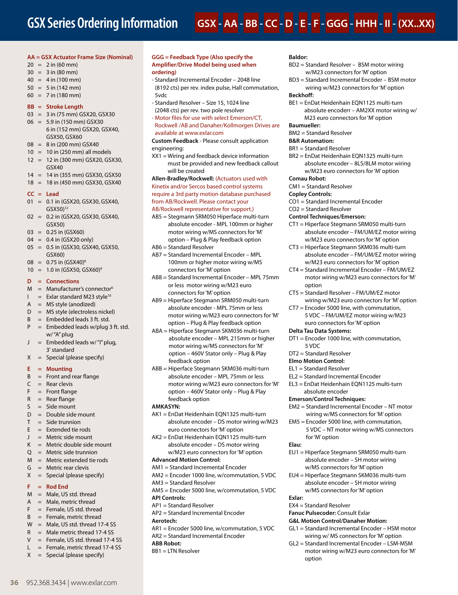# **GSX - AA - BB - CC - D - E - F - GGG - HHH - II - (XX..XX)**

#### **AA = GSX Actuator Frame Size (Nominal)**

- $20 = 2$  in (60 mm)
- $30 = 3$  in (80 mm)
- $40 = 4$  in (100 mm)
- $50 = 5$  in (142 mm)
- $60 = 7$  in (180 mm)

#### **BB = Stroke Length**

- 03 = 3 in (75 mm) GSX20, GSX30
- $06 = 5.9$  in (150 mm) GSX30 6 in (152 mm) GSX20, GSX40, GSX50, GSX60
- 08 = 8 in (200 mm) GSX40
- $10 = 10$  in (250 mm) all models
- 12 = 12 in (300 mm) GSX20, GSX30, GSX40
- 14 = 14 in (355 mm) GSX30, GSX50
- 18 = 18 in (450 mm) GSX30, GSX40

#### **CC = Lead**

- 01 = 0.1 in (GSX20, GSX30, GSX40, GSX50)12
- 02 = 0.2 in (GSX20, GSX30, GSX40, GSX50)
- $03 = 0.25$  in (GSX60)
- 04 = 0.4 in (GSX20 only)
- 05 = 0.5 in (GSX30, GSX40, GSX50,
- GSX60)
- $08 = 0.75$  in (GSX40)<sup>8</sup>  $10 = 1.0$  in (GSX50, GSX60)<sup>9</sup>
- **D = Connections**
- $M =$  Manufacturer's connector<sup>6</sup>
- $I =$  Exlar standard M23 style<sup>10</sup>
- $A = MS$  style (anodized)
- D = MS style (electroless nickel)
- $B =$  Embedded leads 3 ft. std.
- $P =$  Embedded leads w/plug 3 ft. std. w/ "A" plug
- J = Embedded leads w/ "I" plug, 3' standard
- $X =$  Special (please specify)

#### **E = Mounting**

- $B =$  Front and rear flange
- $C =$  Rear clevis
- $F =$  Front flange
- $R =$ Rear flange
- $S = Side$  mount
- $D =$  Double side mount
- $T =$ Side trunnion
- $E =$  Extended tie rods
- $J =$  Metric side mount
- $K =$  Metric double side mount
- Q = Metric side trunnion
- $M =$  Metric extended tie rods
- $G =$  Metric rear clevis
- $X =$  Special (please specify)

#### **F = Rod End**

- $M =$  Male, US std. thread
- $A = Male$ , metric thread
- $F =$  Female, US std. thread
- $B =$  Female, metric thread
- $W =$  Male, US std. thread 17-4 SS
- $R =$  Male metric thread 17-4 SS
- $V =$  Female, US std. thread 17-4 SS
- $L =$  Female, metric thread 17-4 SS
- $X =$  Special (please specify)

**36** 952.368.3434 | www.exlar.com

#### **GGG = Feedback Type (Also specify the Amplifier/Drive Model being used when ordering)**

- Standard Incremental Encoder 2048 line (8192 cts) per rev. index pulse, Hall commutation, 5vdc
- Standard Resolver Size 15, 1024 line (2048 cts) per rev. two pole resolver
- Motor files for use with select Emerson/CT, Rockwell /AB and Danaher/Kollmorgen Drives are available at www.exlar.com

#### **Custom Feedback** - Please consult application engineering:

XX1 = Wiring and feedback device information must be provided and new feedback callout will be created

#### **Allen-Bradley/Rockwell:** (Actuators used with Kinetix and/or Sercos based control systems require a 3rd party motion database purchased from AB/Rockwell. Please contact your AB/Rockwell representative for support.)

- AB5 = Stegmann SRM050 Hiperface multi-turn absolute encoder - MPL 100mm or higher motor wiring w/MS connectors for 'M' option – Plug & Play feedback option
- AB6 = Standard Resolver
- AB7 = Standard Incremental Encoder MPL 100mm or higher motor wiring w/MS connectors for 'M' option
- AB8 = Standard Incremental Encoder MPL 75mm or less motor wiring w/M23 euro connectors for 'M' option
- AB9 = Hiperface Stegmann SRM050 multi-turn absolute encoder - MPL 75mm or less motor wiring w/M23 euro connectors for 'M' option – Plug & Play feedback option
- ABA = Hiperface Stegmann SKM036 multi-turn absolute encoder – MPL 215mm or higher motor wiring w/MS connectors for 'M' option – 460V Stator only – Plug & Play feedback option
- ABB = Hiperface Stegmann SKM036 multi-turn absolute encoder – MPL 75mm or less motor wiring w/M23 euro connectors for 'M' option – 460V Stator only – Plug & Play feedback option

#### **AMKASYN:**

- AK1 = EnDat Heidenhain EQN1325 multi-turn absolute encoder – DS motor wiring w/M23 euro connectors for 'M' option
- AK2 = EnDat Heidenhain EQN1125 multi-turn absolute encoder – DS motor wiring w/M23 euro connectors for 'M' option

#### **Advanced Motion Control:**

- AM1 = Standard Incremental Encoder
- AM2 = Encoder 1000 line, w/commutation, 5 VDC
- AM3 = Standard Resolver
- AM5 = Encoder 5000 line, w/commutation, 5 VDC
- **API Controls:**
- AP1 = Standard Resolver
- AP2 = Standard Incremental Encoder

#### **Aerotech:**

- AR1 = Encoder 5000 line, w/commutation, 5 VDC
- AR2 = Standard Incremental Encoder **ABB Robot:**
- BB1 = LTN Resolver

#### **Baldor:**

- BD2 = Standard Resolver BSM motor wiring w/M23 connectors for 'M' option
- BD3 = Standard Incremental Encoder BSM motor wiring w/M23 connectors for 'M' option

#### **Beckhoff:**

BE1 = EnDat Heidenhain EQN1125 multi-turn absolute encoderr – AM2XX motor wiring w/ M23 euro connectors for 'M' option

### **Baumueller:**

- BM2 = Standard Resolver
- **B&R Automation:**
- BR1 = Standard Resolver
- BR2 = EnDat Heidenhain EQN1325 multi-turn absolute encoder – 8LS/8LM motor wiring w/M23 euro connectors for 'M' option

CT1 = Hiperface Stegmann SRM050 multi-turn

CT5 = Standard Resolver – FM/UM/EZ motor

CT7 = Encoder 5000 line, with commutation, 5 VDC – FM/UM/EZ motor wiring w/M23 euro connectors for 'M' option

DT1 = Encoder 1000 line, with commutation,

EM2 = Standard Incremental Encoder – NT motor wiring w/MS connectors for 'M' option EM5 = Encoder 5000 line, with commutation,

EU1 = Hiperface Stegmann SRM050 multi-turn absolute encoder – SH motor wiring w/MS connectors for 'M' option EU4 = Hiperface Stegmann SKM036 multi-turn absolute encoder – SH motor wiring w/MS connectors for 'M' option

GL1 = Standard Incremental Encoder – HSM motor wiring w/ MS connectors for 'M' option GL2 = Standard Incremental Encoder – LSM-MSM motor wiring w/M23 euro connectors for 'M'

5 VDC – NT motor wiring w/MS connectors

EL2 = Standard Incremental Encoder EL3 = EnDat Heidenhain EQN1125 multi-turn

absolute encoder **Emerson/Control Techniques:**

for 'M' option

EX4 = Standard Resolver **Fanuc Pulsecoder:** Consult Exlar **G&L Motion Control/Danaher Motion:**

option

**Elau:**

**Exlar:**

absolute encoder – FM/UM/EZ motor wiring w/M23 euro connectors for 'M' option CT3 = Hiperface Stegmann SKM036 multi-turn

absolute encoder – FM/UM/EZ motor wiring w/M23 euro connectors for 'M' option CT4 = Standard Incremental Encoder – FM/UM/EZ motor wiring w/M23 euro connectors for 'M'

wiring w/M23 euro connectors for 'M' option

#### **Comau Robot:**

CM1 = Standard Resolver

**Control Techniques/Emerson:**

**Copley Controls:** CO1 = Standard Incremental Encoder CO2 = Standard Resolver

option

**Delta Tau Data Systems:**

5 VDC DT2 = Standard Resolver **Elmo Motion Control:** EL1 = Standard Resolver